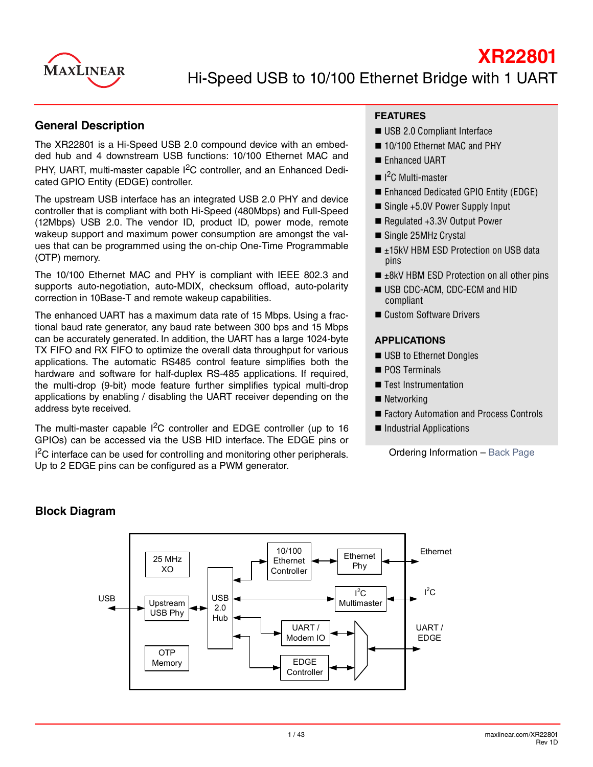

### **General Description**

The XR22801 is a Hi-Speed USB 2.0 compound device with an embedded hub and 4 downstream USB functions: 10/100 Ethernet MAC and PHY, UART, multi-master capable I<sup>2</sup>C controller, and an Enhanced Dedicated GPIO Entity (EDGE) controller.

The upstream USB interface has an integrated USB 2.0 PHY and device controller that is compliant with both Hi-Speed (480Mbps) and Full-Speed (12Mbps) USB 2.0. The vendor ID, product ID, power mode, remote wakeup support and maximum power consumption are amongst the values that can be programmed using the on-chip One-Time Programmable (OTP) memory.

The 10/100 Ethernet MAC and PHY is compliant with IEEE 802.3 and supports auto-negotiation, auto-MDIX, checksum offload, auto-polarity correction in 10Base-T and remote wakeup capabilities.

The enhanced UART has a maximum data rate of 15 Mbps. Using a fractional baud rate generator, any baud rate between 300 bps and 15 Mbps can be accurately generated. In addition, the UART has a large 1024-byte TX FIFO and RX FIFO to optimize the overall data throughput for various applications. The automatic RS485 control feature simplifies both the hardware and software for half-duplex RS-485 applications. If required, the multi-drop (9-bit) mode feature further simplifies typical multi-drop applications by enabling / disabling the UART receiver depending on the address byte received.

The multi-master capable  $1^2C$  controller and EDGE controller (up to 16 GPIOs) can be accessed via the USB HID interface. The EDGE pins or <sup>2</sup>C interface can be used for controlling and monitoring other peripherals. Up to 2 EDGE pins can be configured as a PWM generator.

#### **FEATURES**

- USB 2.0 Compliant Interface
- 10/100 Ethernet MAC and PHY
- Enhanced UART
- $\blacksquare$  I<sup>2</sup>C Multi-master
- Enhanced Dedicated GPIO Entity (EDGE)
- Single +5.0V Power Supply Input
- Regulated +3.3V Output Power
- Single 25MHz Crystal
- ±15kV HBM ESD Protection on USB data pins
- $\blacksquare$   $\pm$ 8kV HBM ESD Protection on all other pins
- USB CDC-ACM, CDC-ECM and HID compliant
- Custom Software Drivers

#### **APPLICATIONS**

- USB to Ethernet Dongles
- **POS Terminals**
- **Test Instrumentation**
- Networking
- Factory Automation and Process Controls
- Industrial Applications

Ordering Information – [Back Page](#page-42-0)

### **Block Diagram**

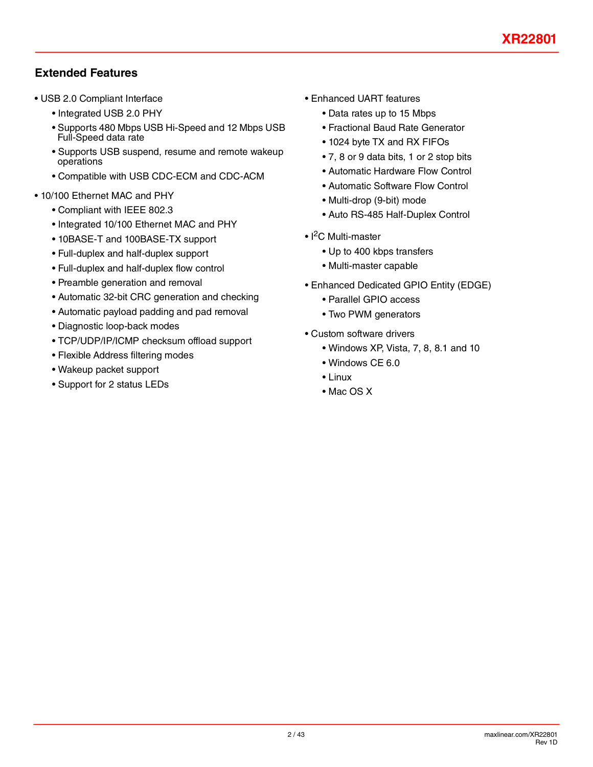# **Extended Features**

- USB 2.0 Compliant Interface
	- Integrated USB 2.0 PHY
	- Supports 480 Mbps USB Hi-Speed and 12 Mbps USB Full-Speed data rate
	- Supports USB suspend, resume and remote wakeup operations
	- Compatible with USB CDC-ECM and CDC-ACM
- 10/100 Ethernet MAC and PHY
	- Compliant with IEEE 802.3
	- Integrated 10/100 Ethernet MAC and PHY
	- 10BASE-T and 100BASE-TX support
	- Full-duplex and half-duplex support
	- Full-duplex and half-duplex flow control
	- Preamble generation and removal
	- Automatic 32-bit CRC generation and checking
	- Automatic payload padding and pad removal
	- Diagnostic loop-back modes
	- TCP/UDP/IP/ICMP checksum offload support
	- Flexible Address filtering modes
	- Wakeup packet support
	- Support for 2 status LEDs
- Enhanced UART features
	- Data rates up to 15 Mbps
	- Fractional Baud Rate Generator
	- 1024 byte TX and RX FIFOs
	- 7, 8 or 9 data bits, 1 or 2 stop bits
	- Automatic Hardware Flow Control
	- Automatic Software Flow Control
	- Multi-drop (9-bit) mode
	- Auto RS-485 Half-Duplex Control
- I<sup>2</sup>C Multi-master
	- Up to 400 kbps transfers
	- Multi-master capable
- Enhanced Dedicated GPIO Entity (EDGE)
	- Parallel GPIO access
	- Two PWM generators
- Custom software drivers
	- Windows XP, Vista, 7, 8, 8.1 and 10
	- Windows CE 6.0
	- Linux
	- Mac OS X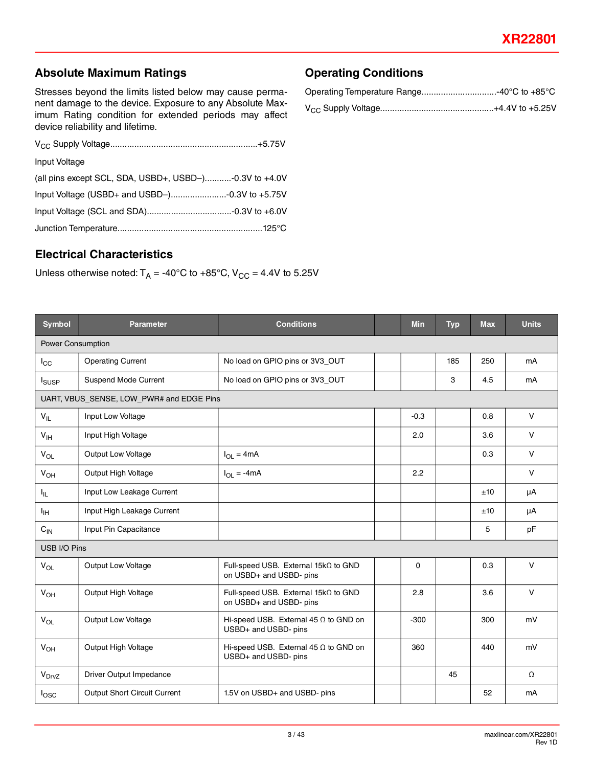Rev 1D

# **Absolute Maximum Ratings**

Stresses beyond the limits listed below may cause permanent damage to the device. Exposure to any Absolute Maximum Rating condition for extended periods may affect device reliability and lifetime.

| Input Voltage                                               |
|-------------------------------------------------------------|
| (all pins except SCL, SDA, USBD+, USBD-) $-0.3V$ to $+4.0V$ |
|                                                             |
|                                                             |
|                                                             |

### <span id="page-2-0"></span>**Electrical Characteristics**

Unless otherwise noted:  $T_A = -40^{\circ}$ C to  $+85^{\circ}$ C, V<sub>CC</sub> = 4.4V to 5.25V

| <b>Symbol</b>                            | <b>Parameter</b>                    | <b>Conditions</b>                                                    | Min      | <b>Typ</b> | <b>Max</b> | <b>Units</b> |
|------------------------------------------|-------------------------------------|----------------------------------------------------------------------|----------|------------|------------|--------------|
| Power Consumption                        |                                     |                                                                      |          |            |            |              |
| $I_{\rm CC}$                             | <b>Operating Current</b>            | No load on GPIO pins or 3V3_OUT                                      |          | 185        | 250        | mA           |
| <b>I</b> <sub>SUSP</sub>                 | Suspend Mode Current                | No load on GPIO pins or 3V3_OUT                                      |          | 3          | 4.5        | mA           |
| UART, VBUS_SENSE, LOW_PWR# and EDGE Pins |                                     |                                                                      |          |            |            |              |
| $V_{IL}$                                 | Input Low Voltage                   |                                                                      | $-0.3$   |            | 0.8        | $\vee$       |
| V <sub>IH</sub>                          | Input High Voltage                  |                                                                      | 2.0      |            | 3.6        | $\vee$       |
| $V_{OL}$                                 | Output Low Voltage                  | $I_{OL} = 4mA$                                                       |          |            | 0.3        | $\vee$       |
| $V_{OH}$                                 | Output High Voltage                 | $I_{OL} = -4mA$                                                      | 2.2      |            |            | $\vee$       |
| Ιıμ.                                     | Input Low Leakage Current           |                                                                      |          |            | ±10        | μA           |
| ŀщ                                       | Input High Leakage Current          |                                                                      |          |            | ±10        | μA           |
| $\mathrm{C_{IN}}$                        | Input Pin Capacitance               |                                                                      |          |            | 5          | pF           |
| USB I/O Pins                             |                                     |                                                                      |          |            |            |              |
| $V_{OL}$                                 | Output Low Voltage                  | Full-speed USB. External 15kΩ to GND<br>on USBD+ and USBD- pins      | $\Omega$ |            | 0.3        | $\vee$       |
| $V_{OH}$                                 | Output High Voltage                 | Full-speed USB. External 15kΩ to GND<br>on USBD+ and USBD- pins      | 2.8      |            | 3.6        | $\vee$       |
| $V_{OL}$                                 | Output Low Voltage                  | Hi-speed USB. External 45 $\Omega$ to GND on<br>USBD+ and USBD- pins | $-300$   |            | 300        | mV           |
| $V_{OH}$                                 | Output High Voltage                 | Hi-speed USB. External 45 $\Omega$ to GND on<br>USBD+ and USBD- pins | 360      |            | 440        | mV           |
| $V_{\text{DrvZ}}$                        | Driver Output Impedance             |                                                                      |          | 45         |            | $\Omega$     |
| $I_{\text{OSC}}$                         | <b>Output Short Circuit Current</b> | 1.5V on USBD+ and USBD- pins                                         |          |            | 52         | mA           |
|                                          |                                     |                                                                      |          |            |            |              |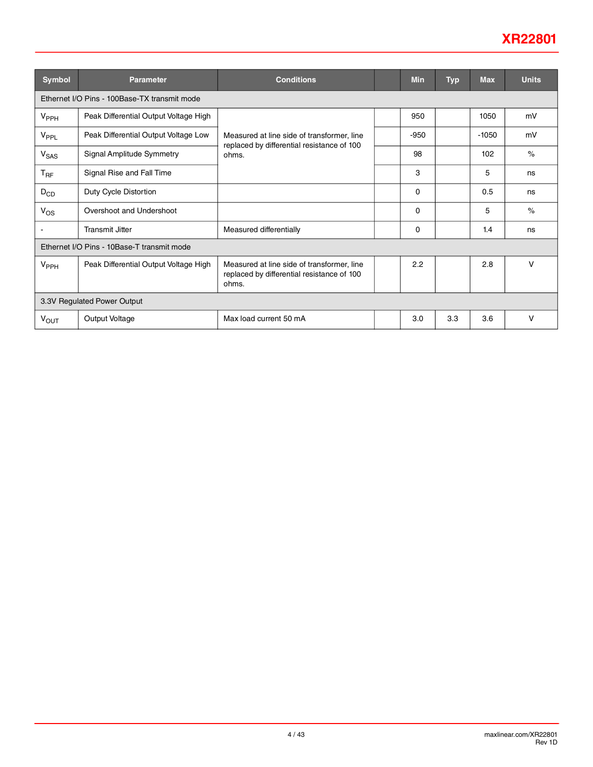# **XR22801**

| <b>Symbol</b>               | <b>Parameter</b>                             | <b>Conditions</b>                                                                                 |  | Min      | <b>Typ</b> | <b>Max</b> | <b>Units</b> |
|-----------------------------|----------------------------------------------|---------------------------------------------------------------------------------------------------|--|----------|------------|------------|--------------|
|                             | Ethernet I/O Pins - 100Base-TX transmit mode |                                                                                                   |  |          |            |            |              |
| V <sub>PPH</sub>            | Peak Differential Output Voltage High        |                                                                                                   |  | 950      |            | 1050       | mV           |
| V <sub>PPL</sub>            | Peak Differential Output Voltage Low         | Measured at line side of transformer. line                                                        |  | $-950$   |            | $-1050$    | mV           |
| <b>V<sub>SAS</sub></b>      | Signal Amplitude Symmetry                    | replaced by differential resistance of 100<br>ohms.                                               |  | 98       |            | 102        | $\%$         |
| $T_{\sf RF}$                | Signal Rise and Fall Time                    |                                                                                                   |  | 3        |            | 5          | ns           |
| $D_{CD}$                    | Duty Cycle Distortion                        |                                                                                                   |  | 0        |            | 0.5        | ns           |
| $V_{OS}$                    | Overshoot and Undershoot                     |                                                                                                   |  | $\Omega$ |            | 5          | $\%$         |
|                             | <b>Transmit Jitter</b>                       | Measured differentially                                                                           |  | 0        |            | 1.4        | ns           |
|                             | Ethernet I/O Pins - 10Base-T transmit mode   |                                                                                                   |  |          |            |            |              |
| V <sub>PPH</sub>            | Peak Differential Output Voltage High        | Measured at line side of transformer, line<br>replaced by differential resistance of 100<br>ohms. |  | 2.2      |            | 2.8        | v            |
| 3.3V Regulated Power Output |                                              |                                                                                                   |  |          |            |            |              |
| V <sub>OUT</sub>            | Output Voltage                               | Max load current 50 mA                                                                            |  | 3.0      | 3.3        | 3.6        | v            |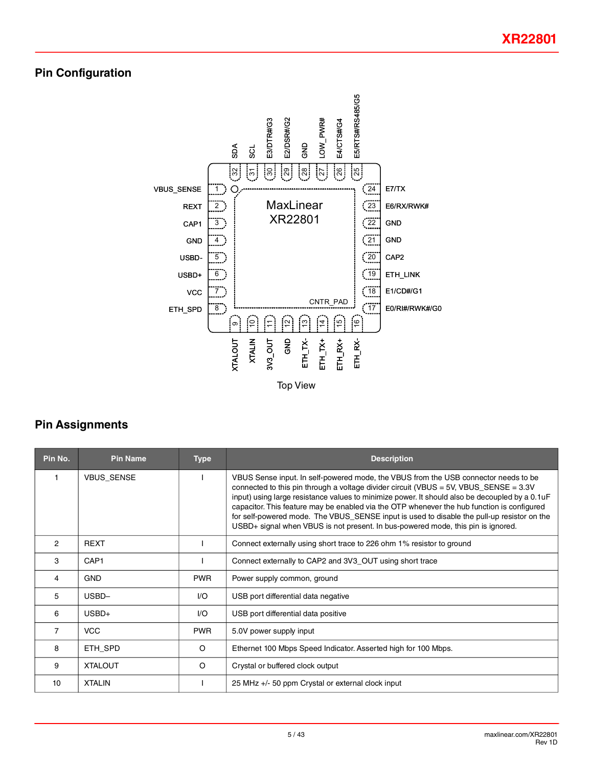# **Pin Configuration**



# **Pin Assignments**

| Pin No.        | <b>Pin Name</b>   | <b>Type</b> | <b>Description</b>                                                                                                                                                                                                                                                                                                                                                                                                                                                                                                                                                  |  |
|----------------|-------------------|-------------|---------------------------------------------------------------------------------------------------------------------------------------------------------------------------------------------------------------------------------------------------------------------------------------------------------------------------------------------------------------------------------------------------------------------------------------------------------------------------------------------------------------------------------------------------------------------|--|
|                | <b>VBUS SENSE</b> |             | VBUS Sense input. In self-powered mode, the VBUS from the USB connector needs to be<br>connected to this pin through a voltage divider circuit (VBUS = $5V$ , VBUS_SENSE = $3.3V$<br>input) using large resistance values to minimize power. It should also be decoupled by a 0.1uF<br>capacitor. This feature may be enabled via the OTP whenever the hub function is configured<br>for self-powered mode. The VBUS_SENSE input is used to disable the pull-up resistor on the<br>USBD+ signal when VBUS is not present. In bus-powered mode, this pin is ignored. |  |
| $\overline{2}$ | <b>REXT</b>       |             | Connect externally using short trace to 226 ohm 1% resistor to ground                                                                                                                                                                                                                                                                                                                                                                                                                                                                                               |  |
| 3              | CAP1              |             | Connect externally to CAP2 and 3V3_OUT using short trace                                                                                                                                                                                                                                                                                                                                                                                                                                                                                                            |  |
| 4              | <b>GND</b>        | <b>PWR</b>  | Power supply common, ground                                                                                                                                                                                                                                                                                                                                                                                                                                                                                                                                         |  |
| 5              | USBD-             | I/O         | USB port differential data negative                                                                                                                                                                                                                                                                                                                                                                                                                                                                                                                                 |  |
| 6              | $USBD+$           | I/O         | USB port differential data positive                                                                                                                                                                                                                                                                                                                                                                                                                                                                                                                                 |  |
| $\overline{7}$ | <b>VCC</b>        | <b>PWR</b>  | 5.0V power supply input                                                                                                                                                                                                                                                                                                                                                                                                                                                                                                                                             |  |
| 8              | ETH SPD           | $\circ$     | Ethernet 100 Mbps Speed Indicator. Asserted high for 100 Mbps.                                                                                                                                                                                                                                                                                                                                                                                                                                                                                                      |  |
| 9              | <b>XTALOUT</b>    | O           | Crystal or buffered clock output                                                                                                                                                                                                                                                                                                                                                                                                                                                                                                                                    |  |
| 10             | <b>XTALIN</b>     |             | 25 MHz +/- 50 ppm Crystal or external clock input                                                                                                                                                                                                                                                                                                                                                                                                                                                                                                                   |  |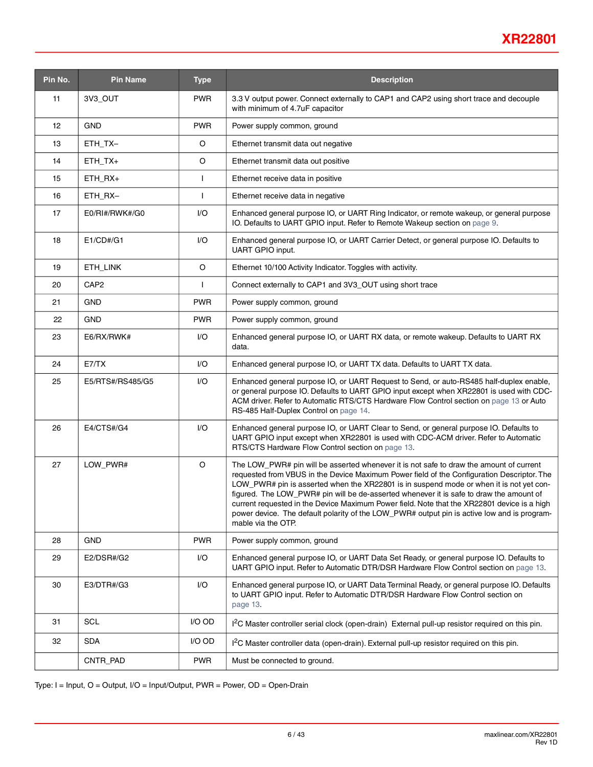# **XR22801**

| Pin No. | <b>Pin Name</b>  | <b>Type</b> | <b>Description</b>                                                                                                                                                                                                                                                                                                                                                                                                                                                                                                                                                                              |  |  |  |
|---------|------------------|-------------|-------------------------------------------------------------------------------------------------------------------------------------------------------------------------------------------------------------------------------------------------------------------------------------------------------------------------------------------------------------------------------------------------------------------------------------------------------------------------------------------------------------------------------------------------------------------------------------------------|--|--|--|
| 11      | 3V3_OUT          | <b>PWR</b>  | 3.3 V output power. Connect externally to CAP1 and CAP2 using short trace and decouple<br>with minimum of 4.7uF capacitor                                                                                                                                                                                                                                                                                                                                                                                                                                                                       |  |  |  |
| 12      | <b>GND</b>       | <b>PWR</b>  | Power supply common, ground                                                                                                                                                                                                                                                                                                                                                                                                                                                                                                                                                                     |  |  |  |
| 13      | ETH_TX-          | O           | Ethernet transmit data out negative                                                                                                                                                                                                                                                                                                                                                                                                                                                                                                                                                             |  |  |  |
| 14      | ETH_TX+          | O           | Ethernet transmit data out positive                                                                                                                                                                                                                                                                                                                                                                                                                                                                                                                                                             |  |  |  |
| 15      | $ETH_RX+$        | L           | Ethernet receive data in positive                                                                                                                                                                                                                                                                                                                                                                                                                                                                                                                                                               |  |  |  |
| 16      | ETH_RX-          | L           | Ethernet receive data in negative                                                                                                                                                                                                                                                                                                                                                                                                                                                                                                                                                               |  |  |  |
| 17      | E0/RI#/RWK#/G0   | I/O         | Enhanced general purpose IO, or UART Ring Indicator, or remote wakeup, or general purpose<br>IO. Defaults to UART GPIO input. Refer to Remote Wakeup section on page 9.                                                                                                                                                                                                                                                                                                                                                                                                                         |  |  |  |
| 18      | E1/CD#/G1        | I/O         | Enhanced general purpose IO, or UART Carrier Detect, or general purpose IO. Defaults to<br>UART GPIO input.                                                                                                                                                                                                                                                                                                                                                                                                                                                                                     |  |  |  |
| 19      | ETH_LINK         | O           | Ethernet 10/100 Activity Indicator. Toggles with activity.                                                                                                                                                                                                                                                                                                                                                                                                                                                                                                                                      |  |  |  |
| 20      | CAP <sub>2</sub> | L           | Connect externally to CAP1 and 3V3_OUT using short trace                                                                                                                                                                                                                                                                                                                                                                                                                                                                                                                                        |  |  |  |
| 21      | <b>GND</b>       | <b>PWR</b>  | Power supply common, ground                                                                                                                                                                                                                                                                                                                                                                                                                                                                                                                                                                     |  |  |  |
| 22      | <b>GND</b>       | <b>PWR</b>  | Power supply common, ground                                                                                                                                                                                                                                                                                                                                                                                                                                                                                                                                                                     |  |  |  |
| 23      | E6/RX/RWK#       | I/O         | Enhanced general purpose IO, or UART RX data, or remote wakeup. Defaults to UART RX<br>data.                                                                                                                                                                                                                                                                                                                                                                                                                                                                                                    |  |  |  |
| 24      | E7/TX            | I/O         | Enhanced general purpose IO, or UART TX data. Defaults to UART TX data.                                                                                                                                                                                                                                                                                                                                                                                                                                                                                                                         |  |  |  |
| 25      | E5/RTS#/RS485/G5 | I/O         | Enhanced general purpose IO, or UART Request to Send, or auto-RS485 half-duplex enable,<br>or general purpose IO. Defaults to UART GPIO input except when XR22801 is used with CDC-<br>ACM driver. Refer to Automatic RTS/CTS Hardware Flow Control section on page 13 or Auto<br>RS-485 Half-Duplex Control on page 14.                                                                                                                                                                                                                                                                        |  |  |  |
| 26      | E4/CTS#/G4       | I/O         | Enhanced general purpose IO, or UART Clear to Send, or general purpose IO. Defaults to<br>UART GPIO input except when XR22801 is used with CDC-ACM driver. Refer to Automatic<br>RTS/CTS Hardware Flow Control section on page 13.                                                                                                                                                                                                                                                                                                                                                              |  |  |  |
| 27      | LOW_PWR#         | O           | The LOW_PWR# pin will be asserted whenever it is not safe to draw the amount of current<br>requested from VBUS in the Device Maximum Power field of the Configuration Descriptor. The<br>LOW_PWR# pin is asserted when the XR22801 is in suspend mode or when it is not yet con-<br>figured. The LOW_PWR# pin will be de-asserted whenever it is safe to draw the amount of<br>current requested in the Device Maximum Power field. Note that the XR22801 device is a high<br>power device. The default polarity of the LOW_PWR# output pin is active low and is program-<br>mable via the OTP. |  |  |  |
| 28      | <b>GND</b>       | <b>PWR</b>  | Power supply common, ground                                                                                                                                                                                                                                                                                                                                                                                                                                                                                                                                                                     |  |  |  |
| 29      | E2/DSR#/G2       | I/O         | Enhanced general purpose IO, or UART Data Set Ready, or general purpose IO. Defaults to<br>UART GPIO input. Refer to Automatic DTR/DSR Hardware Flow Control section on page 13.                                                                                                                                                                                                                                                                                                                                                                                                                |  |  |  |
| 30      | E3/DTR#/G3       | I/O         | Enhanced general purpose IO, or UART Data Terminal Ready, or general purpose IO. Defaults<br>to UART GPIO input. Refer to Automatic DTR/DSR Hardware Flow Control section on<br>page 13.                                                                                                                                                                                                                                                                                                                                                                                                        |  |  |  |
| 31      | <b>SCL</b>       | I/O OD      | I <sup>2</sup> C Master controller serial clock (open-drain) External pull-up resistor required on this pin.                                                                                                                                                                                                                                                                                                                                                                                                                                                                                    |  |  |  |
| 32      | <b>SDA</b>       | I/O OD      | I <sup>2</sup> C Master controller data (open-drain). External pull-up resistor required on this pin.                                                                                                                                                                                                                                                                                                                                                                                                                                                                                           |  |  |  |
|         | CNTR_PAD         | <b>PWR</b>  | Must be connected to ground.                                                                                                                                                                                                                                                                                                                                                                                                                                                                                                                                                                    |  |  |  |

Type: I = Input, O = Output, I/O = Input/Output, PWR = Power, OD = Open-Drain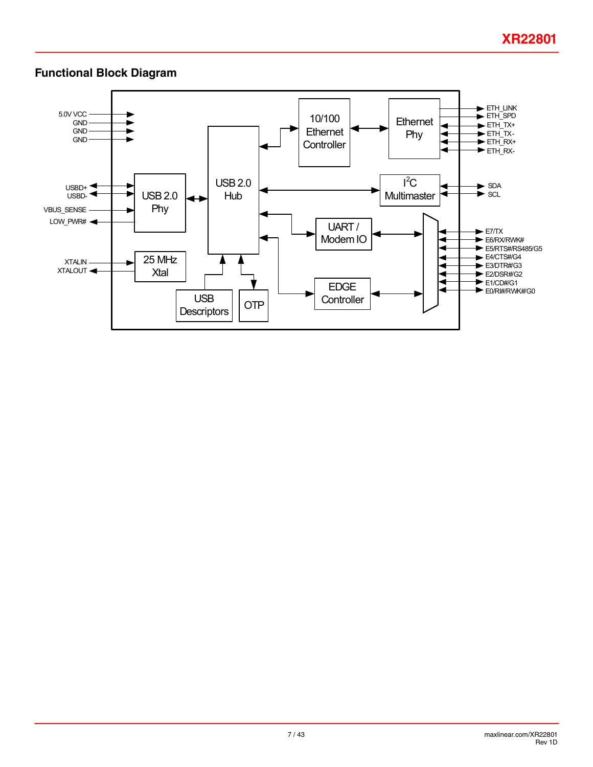## **Functional Block Diagram**

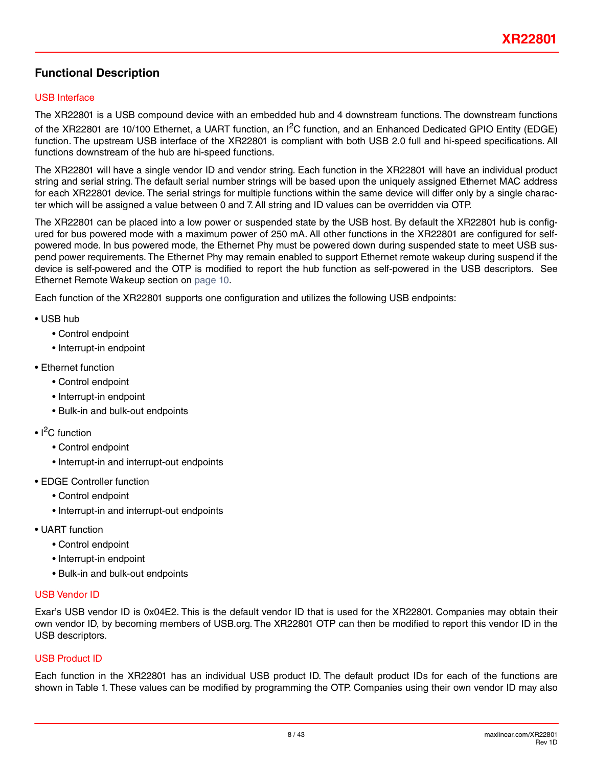### **Functional Description**

### USB Interface

The XR22801 is a USB compound device with an embedded hub and 4 downstream functions. The downstream functions of the XR22801 are 10/100 Ethernet, a UART function, an I<sup>2</sup>C function, and an Enhanced Dedicated GPIO Entity (EDGE) function. The upstream USB interface of the XR22801 is compliant with both USB 2.0 full and hi-speed specifications. All functions downstream of the hub are hi-speed functions.

The XR22801 will have a single vendor ID and vendor string. Each function in the XR22801 will have an individual product string and serial string. The default serial number strings will be based upon the uniquely assigned Ethernet MAC address for each XR22801 device. The serial strings for multiple functions within the same device will differ only by a single character which will be assigned a value between 0 and 7. All string and ID values can be overridden via OTP.

The XR22801 can be placed into a low power or suspended state by the USB host. By default the XR22801 hub is configured for bus powered mode with a maximum power of 250 mA. All other functions in the XR22801 are configured for selfpowered mode. In bus powered mode, the Ethernet Phy must be powered down during suspended state to meet USB suspend power requirements. The Ethernet Phy may remain enabled to support Ethernet remote wakeup during suspend if the device is self-powered and the OTP is modified to report the hub function as self-powered in the USB descriptors. See Ethernet Remote Wakeup section on [page](#page-9-0) 10.

Each function of the XR22801 supports one configuration and utilizes the following USB endpoints:

- USB hub
	- Control endpoint
	- Interrupt-in endpoint
- Ethernet function
	- Control endpoint
	- Interrupt-in endpoint
	- Bulk-in and bulk-out endpoints
- I<sup>2</sup>C function
	- Control endpoint
	- Interrupt-in and interrupt-out endpoints
- EDGE Controller function
	- Control endpoint
	- Interrupt-in and interrupt-out endpoints
- UART function
	- Control endpoint
	- Interrupt-in endpoint
	- Bulk-in and bulk-out endpoints

#### USB Vendor ID

Exar's USB vendor ID is 0x04E2. This is the default vendor ID that is used for the XR22801. Companies may obtain their own vendor ID, by becoming members of USB.org. The XR22801 OTP can then be modified to report this vendor ID in the USB descriptors.

#### USB Product ID

Each function in the XR22801 has an individual USB product ID. The default product IDs for each of the functions are shown in Table 1. These values can be modified by programming the OTP. Companies using their own vendor ID may also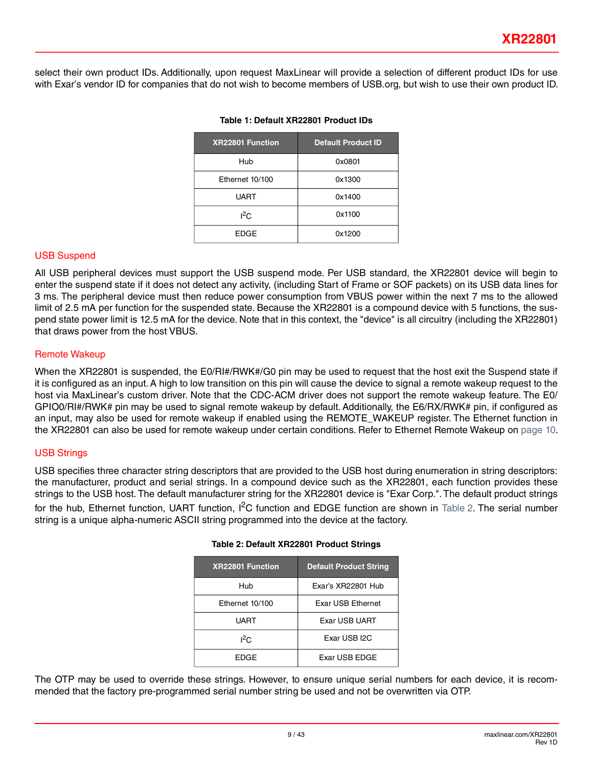select their own product IDs. Additionally, upon request MaxLinear will provide a selection of different product IDs for use with Exar's vendor ID for companies that do not wish to become members of USB.org, but wish to use their own product ID.

| <b>XR22801 Function</b> | <b>Default Product ID</b> |
|-------------------------|---------------------------|
| Hub                     | 0x0801                    |
| Ethernet 10/100         | 0x1300                    |
| <b>UART</b>             | 0x1400                    |
| ${}^{12}$ C             | 0x1100                    |
| <b>EDGE</b>             | 0x1200                    |

#### **Table 1: Default XR22801 Product IDs**

#### USB Suspend

All USB peripheral devices must support the USB suspend mode. Per USB standard, the XR22801 device will begin to enter the suspend state if it does not detect any activity, (including Start of Frame or SOF packets) on its USB data lines for 3 ms. The peripheral device must then reduce power consumption from VBUS power within the next 7 ms to the allowed limit of 2.5 mA per function for the suspended state. Because the XR22801 is a compound device with 5 functions, the suspend state power limit is 12.5 mA for the device. Note that in this context, the "device" is all circuitry (including the XR22801) that draws power from the host VBUS.

#### <span id="page-8-0"></span>Remote Wakeup

When the XR22801 is suspended, the E0/RI#/RWK#/G0 pin may be used to request that the host exit the Suspend state if it is configured as an input. A high to low transition on this pin will cause the device to signal a remote wakeup request to the host via MaxLinear's custom driver. Note that the CDC-ACM driver does not support the remote wakeup feature. The E0/ GPIO0/RI#/RWK# pin may be used to signal remote wakeup by default. Additionally, the E6/RX/RWK# pin, if configured as an input, may also be used for remote wakeup if enabled using the REMOTE\_WAKEUP register. The Ethernet function in the XR22801 can also be used for remote wakeup under certain conditions. Refer to Ethernet Remote Wakeup on [page](#page-9-0) 10.

#### USB Strings

<span id="page-8-1"></span>USB specifies three character string descriptors that are provided to the USB host during enumeration in string descriptors: the manufacturer, product and serial strings. In a compound device such as the XR22801, each function provides these strings to the USB host. The default manufacturer string for the XR22801 device is "Exar Corp.". The default product strings for the hub, Ethernet function, UART function, I<sup>2</sup>C function and EDGE function are shown in [Table](#page-8-1) 2. The serial number string is a unique alpha-numeric ASCII string programmed into the device at the factory.

| <b>XR22801 Function</b> | <b>Default Product String</b> |
|-------------------------|-------------------------------|
| Hub                     | Exar's XR22801 Hub            |
| Ethernet 10/100         | Exar USB Ethernet             |
| UART                    | Exar USB UART                 |
| $1^2C$                  | Exar USB I2C                  |
| FDGF                    | Exar USB EDGE                 |

#### **Table 2: Default XR22801 Product Strings**

The OTP may be used to override these strings. However, to ensure unique serial numbers for each device, it is recommended that the factory pre-programmed serial number string be used and not be overwritten via OTP.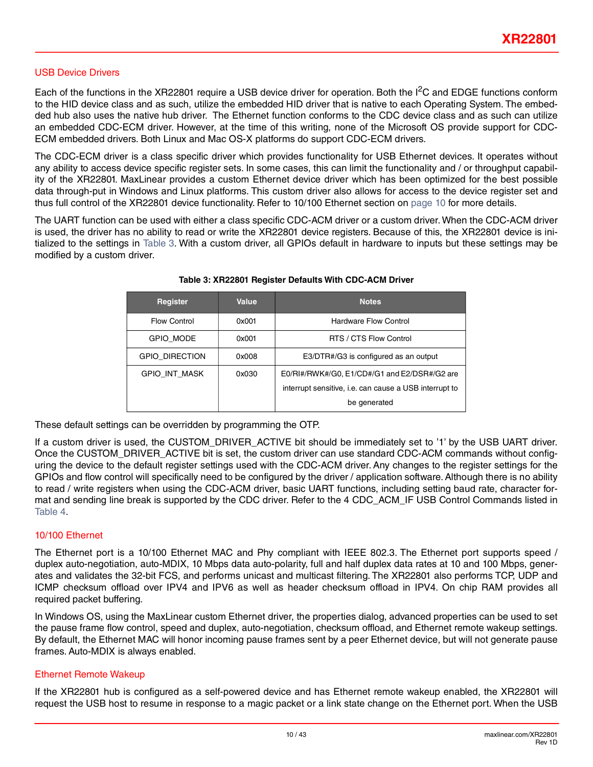#### <span id="page-9-1"></span>USB Device Drivers

Each of the functions in the XR22801 require a USB device driver for operation. Both the  $I^2C$  and EDGE functions conform to the HID device class and as such, utilize the embedded HID driver that is native to each Operating System. The embedded hub also uses the native hub driver. The Ethernet function conforms to the CDC device class and as such can utilize an embedded CDC-ECM driver. However, at the time of this writing, none of the Microsoft OS provide support for CDC-ECM embedded drivers. Both Linux and Mac OS-X platforms do support CDC-ECM drivers.

The CDC-ECM driver is a class specific driver which provides functionality for USB Ethernet devices. It operates without any ability to access device specific register sets. In some cases, this can limit the functionality and / or throughput capability of the XR22801. MaxLinear provides a custom Ethernet device driver which has been optimized for the best possible data through-put in Windows and Linux platforms. This custom driver also allows for access to the device register set and thus full control of the XR22801 device functionality. Refer to 10/100 Ethernet section on [page](#page-9-2) 10 for more details.

<span id="page-9-3"></span>The UART function can be used with either a class specific CDC-ACM driver or a custom driver. When the CDC-ACM driver is used, the driver has no ability to read or write the XR22801 device registers. Because of this, the XR22801 device is initialized to the settings in [Table 3.](#page-9-1) With a custom driver, all GPIOs default in hardware to inputs but these settings may be modified by a custom driver.

| Register              | Value | <b>Notes</b>                                           |  |  |
|-----------------------|-------|--------------------------------------------------------|--|--|
| <b>Flow Control</b>   | 0x001 | <b>Hardware Flow Control</b>                           |  |  |
| GPIO MODE             | 0x001 | RTS / CTS Flow Control                                 |  |  |
| <b>GPIO DIRECTION</b> | 0x008 | E3/DTR#/G3 is configured as an output                  |  |  |
| <b>GPIO INT MASK</b>  | 0x030 | E0/RI#/RWK#/G0, E1/CD#/G1 and E2/DSR#/G2 are           |  |  |
|                       |       | interrupt sensitive, i.e. can cause a USB interrupt to |  |  |
|                       |       | be generated                                           |  |  |

#### **Table 3: XR22801 Register Defaults With CDC-ACM Driver**

These default settings can be overridden by programming the OTP.

If a custom driver is used, the CUSTOM\_DRIVER\_ACTIVE bit should be immediately set to '1' by the USB UART driver. Once the CUSTOM\_DRIVER\_ACTIVE bit is set, the custom driver can use standard CDC-ACM commands without configuring the device to the default register settings used with the CDC-ACM driver. Any changes to the register settings for the GPIOs and flow control will specifically need to be configured by the driver / application software. Although there is no ability to read / write registers when using the CDC-ACM driver, basic UART functions, including setting baud rate, character format and sending line break is supported by the CDC driver. Refer to the 4 CDC\_ACM\_IF USB Control Commands listed in [Table](#page-15-0) 4.

#### <span id="page-9-2"></span>10/100 Ethernet

The Ethernet port is a 10/100 Ethernet MAC and Phy compliant with IEEE 802.3. The Ethernet port supports speed / duplex auto-negotiation, auto-MDIX, 10 Mbps data auto-polarity, full and half duplex data rates at 10 and 100 Mbps, generates and validates the 32-bit FCS, and performs unicast and multicast filtering. The XR22801 also performs TCP, UDP and ICMP checksum offload over IPV4 and IPV6 as well as header checksum offload in IPV4. On chip RAM provides all required packet buffering.

In Windows OS, using the MaxLinear custom Ethernet driver, the properties dialog, advanced properties can be used to set the pause frame flow control, speed and duplex, auto-negotiation, checksum offload, and Ethernet remote wakeup settings. By default, the Ethernet MAC will honor incoming pause frames sent by a peer Ethernet device, but will not generate pause frames. Auto-MDIX is always enabled.

#### <span id="page-9-0"></span>Ethernet Remote Wakeup

If the XR22801 hub is configured as a self-powered device and has Ethernet remote wakeup enabled, the XR22801 will request the USB host to resume in response to a magic packet or a link state change on the Ethernet port. When the USB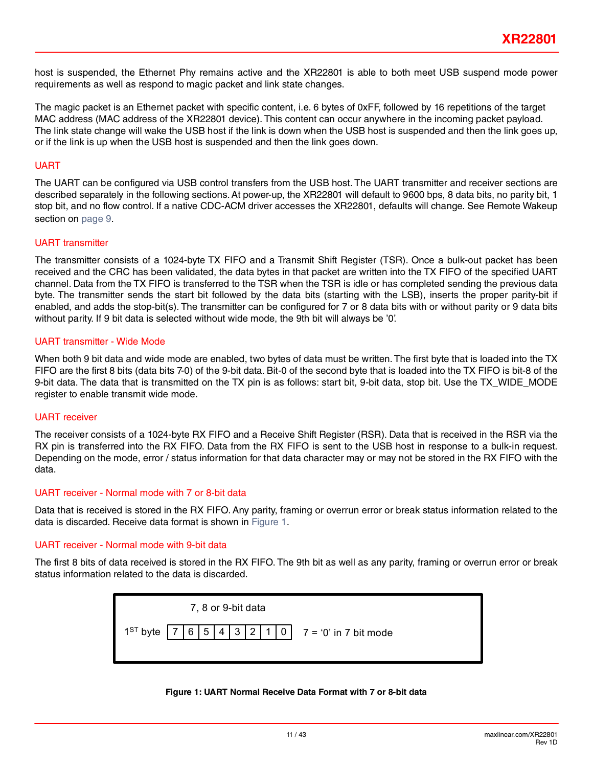host is suspended, the Ethernet Phy remains active and the XR22801 is able to both meet USB suspend mode power requirements as well as respond to magic packet and link state changes.

The magic packet is an Ethernet packet with specific content, i.e. 6 bytes of 0xFF, followed by 16 repetitions of the target MAC address (MAC address of the XR22801 device). This content can occur anywhere in the incoming packet payload. The link state change will wake the USB host if the link is down when the USB host is suspended and then the link goes up, or if the link is up when the USB host is suspended and then the link goes down.

#### UART

The UART can be configured via USB control transfers from the USB host. The UART transmitter and receiver sections are described separately in the following sections. At power-up, the XR22801 will default to 9600 bps, 8 data bits, no parity bit, 1 stop bit, and no flow control. If a native CDC-ACM driver accesses the XR22801, defaults will change. See Remote Wakeup section on [page](#page-8-0) 9.

#### UART transmitter

The transmitter consists of a 1024-byte TX FIFO and a Transmit Shift Register (TSR). Once a bulk-out packet has been received and the CRC has been validated, the data bytes in that packet are written into the TX FIFO of the specified UART channel. Data from the TX FIFO is transferred to the TSR when the TSR is idle or has completed sending the previous data byte. The transmitter sends the start bit followed by the data bits (starting with the LSB), inserts the proper parity-bit if enabled, and adds the stop-bit(s). The transmitter can be configured for 7 or 8 data bits with or without parity or 9 data bits without parity. If 9 bit data is selected without wide mode, the 9th bit will always be '0'.

#### UART transmitter - Wide Mode

When both 9 bit data and wide mode are enabled, two bytes of data must be written. The first byte that is loaded into the TX FIFO are the first 8 bits (data bits 7-0) of the 9-bit data. Bit-0 of the second byte that is loaded into the TX FIFO is bit-8 of the 9-bit data. The data that is transmitted on the TX pin is as follows: start bit, 9-bit data, stop bit. Use the TX\_WIDE\_MODE register to enable transmit wide mode.

#### UART receiver

The receiver consists of a 1024-byte RX FIFO and a Receive Shift Register (RSR). Data that is received in the RSR via the RX pin is transferred into the RX FIFO. Data from the RX FIFO is sent to the USB host in response to a bulk-in request. Depending on the mode, error / status information for that data character may or may not be stored in the RX FIFO with the data.

#### UART receiver - Normal mode with 7 or 8-bit data

Data that is received is stored in the RX FIFO. Any parity, framing or overrun error or break status information related to the data is discarded. Receive data format is shown in [Figure](#page-10-0) 1.

#### UART receiver - Normal mode with 9-bit data

The first 8 bits of data received is stored in the RX FIFO. The 9th bit as well as any parity, framing or overrun error or break status information related to the data is discarded.

<span id="page-10-0"></span>

#### **Figure 1: UART Normal Receive Data Format with 7 or 8-bit data**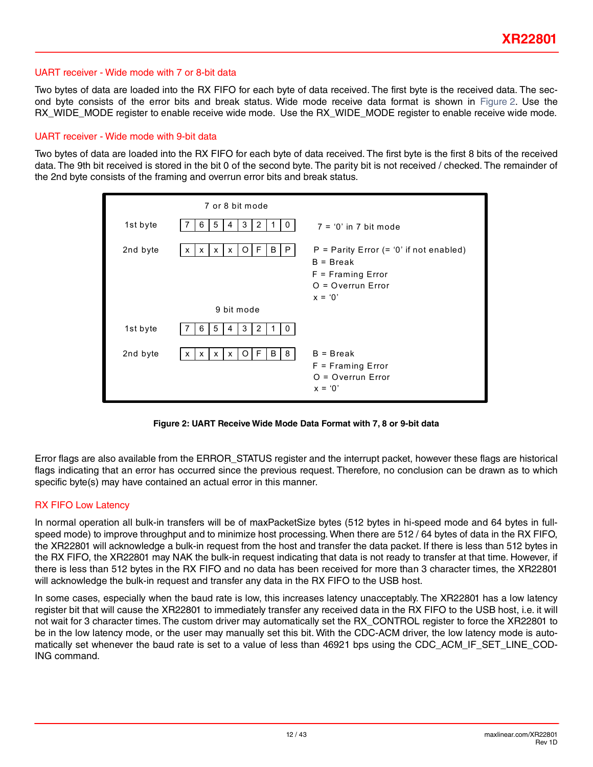#### UART receiver - Wide mode with 7 or 8-bit data

Two bytes of data are loaded into the RX FIFO for each byte of data received. The first byte is the received data. The second byte consists of the error bits and break status. Wide mode receive data format is shown in [Figure](#page-11-0) 2. Use the RX\_WIDE\_MODE register to enable receive wide mode. Use the RX\_WIDE\_MODE register to enable receive wide mode.

#### UART receiver - Wide mode with 9-bit data

Two bytes of data are loaded into the RX FIFO for each byte of data received. The first byte is the first 8 bits of the received data. The 9th bit received is stored in the bit 0 of the second byte. The parity bit is not received / checked. The remainder of the 2nd byte consists of the framing and overrun error bits and break status.

|          | 7 or 8 bit mode                                                   |                                                                                                                      |
|----------|-------------------------------------------------------------------|----------------------------------------------------------------------------------------------------------------------|
| 1st byte | 3<br>5<br>2<br>6<br>4<br>0<br>-1                                  | $7 = '0'$ in 7 bit mode                                                                                              |
| 2nd byte | B<br>P<br>F<br>O<br>x<br>x<br>X<br>X                              | $P =$ Parity Error (= '0' if not enabled)<br>$B = B$ reak<br>$F =$ Framing Error<br>$O = Overrun Error$<br>$x = '0'$ |
|          | 9 bit mode                                                        |                                                                                                                      |
| 1st byte | 5<br>3<br>$\overline{2}$<br>6<br>0<br>4                           |                                                                                                                      |
| 2nd byte | B<br>8<br>F.<br>$\circ$<br>X<br>$\mathsf{x}$<br>$\mathsf{x}$<br>X | $B = B$ reak<br>$F = Framing Error$<br>$O = Overrun Error$<br>$x = '0'$                                              |

**Figure 2: UART Receive Wide Mode Data Format with 7, 8 or 9-bit data**

<span id="page-11-0"></span>Error flags are also available from the ERROR\_STATUS register and the interrupt packet, however these flags are historical flags indicating that an error has occurred since the previous request. Therefore, no conclusion can be drawn as to which specific byte(s) may have contained an actual error in this manner.

#### RX FIFO Low Latency

In normal operation all bulk-in transfers will be of maxPacketSize bytes (512 bytes in hi-speed mode and 64 bytes in fullspeed mode) to improve throughput and to minimize host processing. When there are 512/64 bytes of data in the RX FIFO, the XR22801 will acknowledge a bulk-in request from the host and transfer the data packet. If there is less than 512 bytes in the RX FIFO, the XR22801 may NAK the bulk-in request indicating that data is not ready to transfer at that time. However, if there is less than 512 bytes in the RX FIFO and no data has been received for more than 3 character times, the XR22801 will acknowledge the bulk-in request and transfer any data in the RX FIFO to the USB host.

In some cases, especially when the baud rate is low, this increases latency unacceptably. The XR22801 has a low latency register bit that will cause the XR22801 to immediately transfer any received data in the RX FIFO to the USB host, i.e. it will not wait for 3 character times. The custom driver may automatically set the RX\_CONTROL register to force the XR22801 to be in the low latency mode, or the user may manually set this bit. With the CDC-ACM driver, the low latency mode is automatically set whenever the baud rate is set to a value of less than 46921 bps using the CDC\_ACM\_IF\_SET\_LINE\_COD-ING command.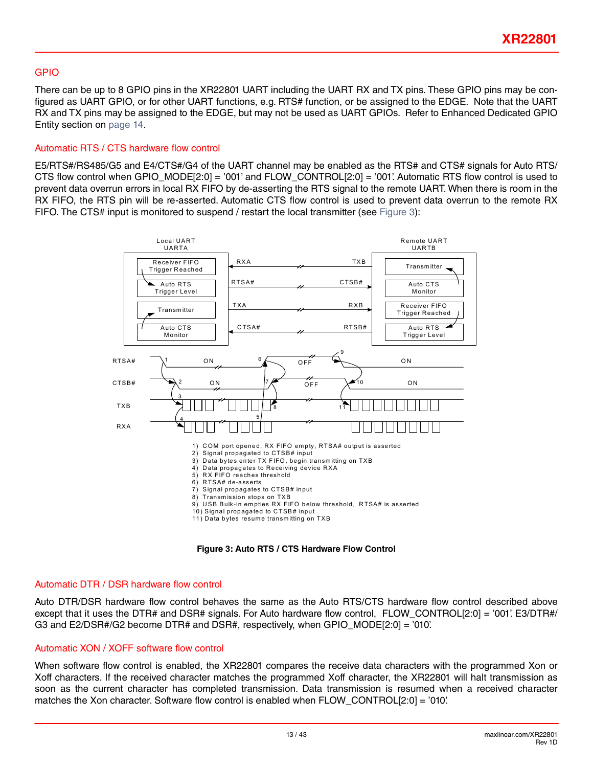#### GPIO

There can be up to 8 GPIO pins in the XR22801 UART including the UART RX and TX pins. These GPIO pins may be configured as UART GPIO, or for other UART functions, e.g. RTS# function, or be assigned to the EDGE. Note that the UART RX and TX pins may be assigned to the EDGE, but may not be used as UART GPIOs. Refer to Enhanced Dedicated GPIO Entity section on [page](#page-13-1) 14.

#### <span id="page-12-0"></span>Automatic RTS / CTS hardware flow control

E5/RTS#/RS485/G5 and E4/CTS#/G4 of the UART channel may be enabled as the RTS# and CTS# signals for Auto RTS/ CTS flow control when GPIO\_MODE[2:0] = '001' and FLOW\_CONTROL[2:0] = '001'. Automatic RTS flow control is used to prevent data overrun errors in local RX FIFO by de-asserting the RTS signal to the remote UART. When there is room in the RX FIFO, the RTS pin will be re-asserted. Automatic CTS flow control is used to prevent data overrun to the remote RX FIFO. The CTS# input is monitored to suspend / restart the local transmitter (see [Figure](#page-12-2) 3):



**Figure 3: Auto RTS / CTS Hardware Flow Control**

#### <span id="page-12-2"></span><span id="page-12-1"></span>Automatic DTR / DSR hardware flow control

Auto DTR/DSR hardware flow control behaves the same as the Auto RTS/CTS hardware flow control described above except that it uses the DTR# and DSR# signals. For Auto hardware flow control, FLOW\_CONTROL[2:0] = '001'. E3/DTR#/ G3 and E2/DSR#/G2 become DTR# and DSR#, respectively, when GPIO\_MODE[2:0] = '010'.

#### Automatic XON / XOFF software flow control

When software flow control is enabled, the XR22801 compares the receive data characters with the programmed Xon or Xoff characters. If the received character matches the programmed Xoff character, the XR22801 will halt transmission as soon as the current character has completed transmission. Data transmission is resumed when a received character matches the Xon character. Software flow control is enabled when FLOW\_CONTROL[2:0] = '010'.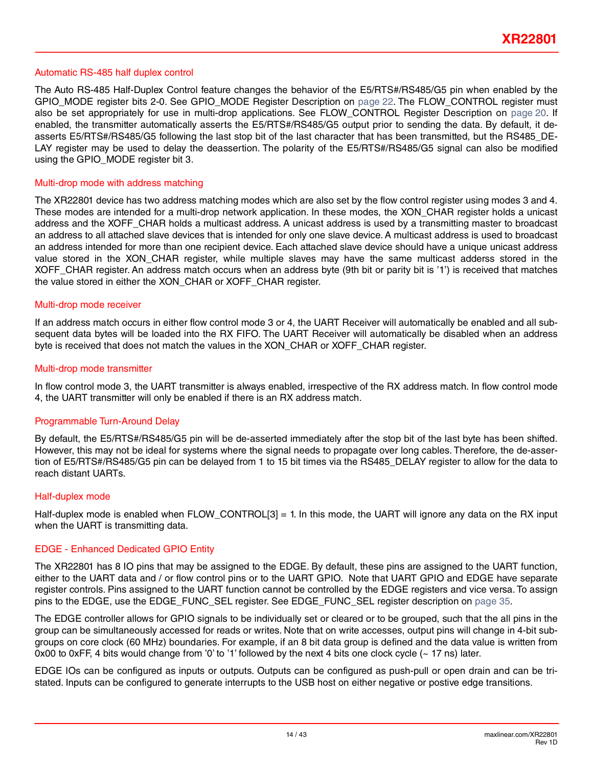#### <span id="page-13-0"></span>Automatic RS-485 half duplex control

The Auto RS-485 Half-Duplex Control feature changes the behavior of the E5/RTS#/RS485/G5 pin when enabled by the GPIO\_MODE register bits 2-0. See GPIO\_MODE Register Description on [page](#page-21-0) 22. The FLOW\_CONTROL register must also be set appropriately for use in multi-drop applications. See FLOW\_CONTROL Register Description on [page](#page-19-0) 20. If enabled, the transmitter automatically asserts the E5/RTS#/RS485/G5 output prior to sending the data. By default, it deasserts E5/RTS#/RS485/G5 following the last stop bit of the last character that has been transmitted, but the RS485\_DE-LAY register may be used to delay the deassertion. The polarity of the E5/RTS#/RS485/G5 signal can also be modified using the GPIO\_MODE register bit 3.

#### Multi-drop mode with address matching

The XR22801 device has two address matching modes which are also set by the flow control register using modes 3 and 4. These modes are intended for a multi-drop network application. In these modes, the XON\_CHAR register holds a unicast address and the XOFF\_CHAR holds a multicast address. A unicast address is used by a transmitting master to broadcast an address to all attached slave devices that is intended for only one slave device. A multicast address is used to broadcast an address intended for more than one recipient device. Each attached slave device should have a unique unicast address value stored in the XON\_CHAR register, while multiple slaves may have the same multicast adderss stored in the XOFF CHAR register. An address match occurs when an address byte (9th bit or parity bit is '1') is received that matches the value stored in either the XON\_CHAR or XOFF\_CHAR register.

#### Multi-drop mode receiver

If an address match occurs in either flow control mode 3 or 4, the UART Receiver will automatically be enabled and all subsequent data bytes will be loaded into the RX FIFO. The UART Receiver will automatically be disabled when an address byte is received that does not match the values in the XON\_CHAR or XOFF\_CHAR register.

#### Multi-drop mode transmitter

In flow control mode 3, the UART transmitter is always enabled, irrespective of the RX address match. In flow control mode 4, the UART transmitter will only be enabled if there is an RX address match.

#### Programmable Turn-Around Delay

By default, the E5/RTS#/RS485/G5 pin will be de-asserted immediately after the stop bit of the last byte has been shifted. However, this may not be ideal for systems where the signal needs to propagate over long cables. Therefore, the de-assertion of E5/RTS#/RS485/G5 pin can be delayed from 1 to 15 bit times via the RS485\_DELAY register to allow for the data to reach distant UARTs.

#### Half-duplex mode

Half-duplex mode is enabled when FLOW CONTROL[3] = 1. In this mode, the UART will ignore any data on the RX input when the UART is transmitting data.

#### <span id="page-13-1"></span>EDGE - Enhanced Dedicated GPIO Entity

The XR22801 has 8 IO pins that may be assigned to the EDGE. By default, these pins are assigned to the UART function, either to the UART data and / or flow control pins or to the UART GPIO. Note that UART GPIO and EDGE have separate register controls. Pins assigned to the UART function cannot be controlled by the EDGE registers and vice versa. To assign pins to the EDGE, use the EDGE\_FUNC\_SEL register. See EDGE\_FUNC\_SEL register description on [page](#page-34-0) 35.

The EDGE controller allows for GPIO signals to be individually set or cleared or to be grouped, such that the all pins in the group can be simultaneously accessed for reads or writes. Note that on write accesses, output pins will change in 4-bit subgroups on core clock (60 MHz) boundaries. For example, if an 8 bit data group is defined and the data value is written from 0x00 to 0xFF, 4 bits would change from '0' to '1' followed by the next 4 bits one clock cycle  $($   $\sim$  17 ns) later.

EDGE IOs can be configured as inputs or outputs. Outputs can be configured as push-pull or open drain and can be tristated. Inputs can be configured to generate interrupts to the USB host on either negative or postive edge transitions.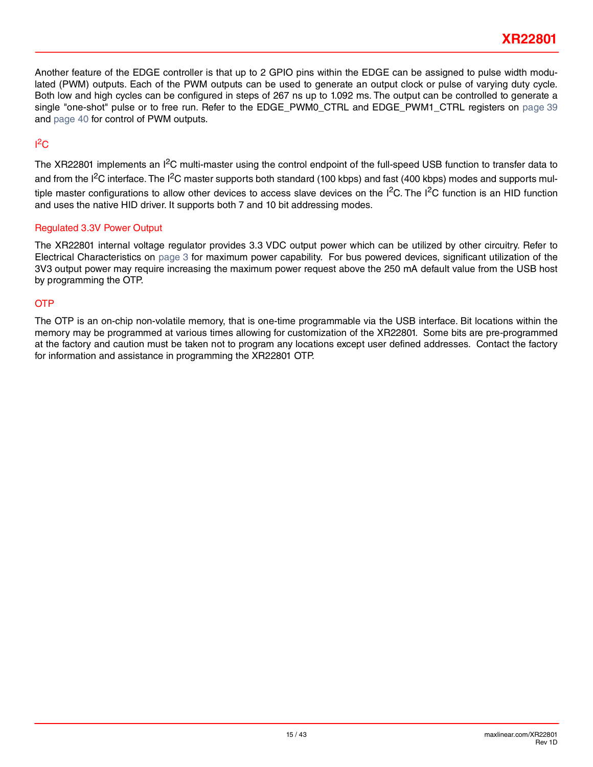Another feature of the EDGE controller is that up to 2 GPIO pins within the EDGE can be assigned to pulse width modulated (PWM) outputs. Each of the PWM outputs can be used to generate an output clock or pulse of varying duty cycle. Both low and high cycles can be configured in steps of 267 ns up to 1.092 ms. The output can be controlled to generate a single "one-shot" pulse or to free run. Refer to the EDGE\_PWM0\_CTRL and EDGE\_PWM1\_CTRL registers on [page](#page-38-0) 39 and [page](#page-39-0) 40 for control of PWM outputs.

# $1^2C$

The XR22801 implements an I<sup>2</sup>C multi-master using the control endpoint of the full-speed USB function to transfer data to and from the I<sup>2</sup>C interface. The I<sup>2</sup>C master supports both standard (100 kbps) and fast (400 kbps) modes and supports multiple master configurations to allow other devices to access slave devices on the  $I^2C$ . The  $I^2C$  function is an HID function and uses the native HID driver. It supports both 7 and 10 bit addressing modes.

### Regulated 3.3V Power Output

The XR22801 internal voltage regulator provides 3.3 VDC output power which can be utilized by other circuitry. Refer to Electrical Characteristics on [page](#page-2-0) 3 for maximum power capability. For bus powered devices, significant utilization of the 3V3 output power may require increasing the maximum power request above the 250 mA default value from the USB host by programming the OTP.

### **OTP**

The OTP is an on-chip non-volatile memory, that is one-time programmable via the USB interface. Bit locations within the memory may be programmed at various times allowing for customization of the XR22801. Some bits are pre-programmed at the factory and caution must be taken not to program any locations except user defined addresses. Contact the factory for information and assistance in programming the XR22801 OTP.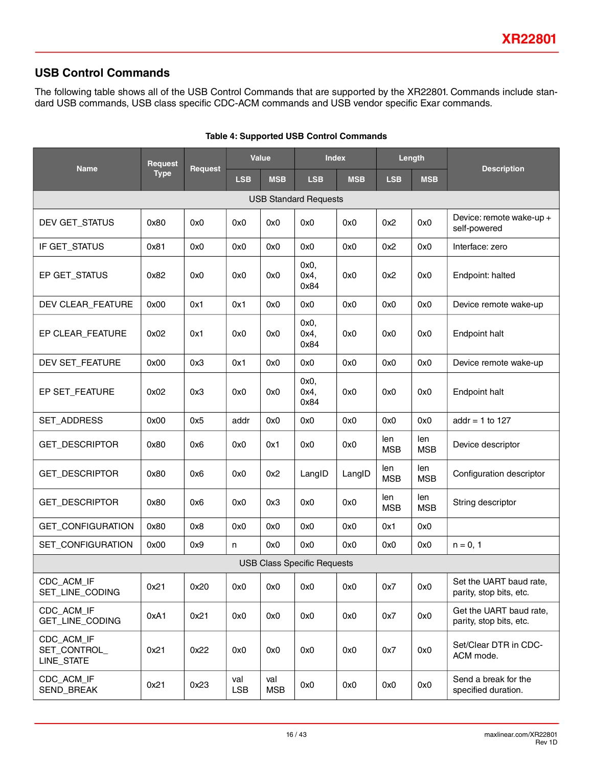### **USB Control Commands**

<span id="page-15-1"></span>The following table shows all of the USB Control Commands that are supported by the XR22801. Commands include standard USB commands, USB class specific CDC-ACM commands and USB vendor specific Exar commands.

<span id="page-15-0"></span>

|                                          | <b>Value</b><br><b>Index</b><br>Request |                |                   | Length            |                                    |            |                   |                   |                                                    |
|------------------------------------------|-----------------------------------------|----------------|-------------------|-------------------|------------------------------------|------------|-------------------|-------------------|----------------------------------------------------|
| <b>Name</b>                              | <b>Type</b>                             | <b>Request</b> | <b>LSB</b>        | <b>MSB</b>        | <b>LSB</b>                         | <b>MSB</b> | <b>LSB</b>        | <b>MSB</b>        | <b>Description</b>                                 |
| <b>USB Standard Requests</b>             |                                         |                |                   |                   |                                    |            |                   |                   |                                                    |
| DEV GET_STATUS                           | 0x80                                    | 0x0            | 0x0               | 0x0               | 0x0                                | 0x0        | 0x2               | 0x0               | Device: remote wake-up +<br>self-powered           |
| IF GET_STATUS                            | 0x81                                    | 0x0            | 0x0               | 0x0               | 0x0                                | 0x0        | 0x2               | 0x0               | Interface: zero                                    |
| EP GET_STATUS                            | 0x82                                    | 0x0            | 0x0               | 0x0               | 0x0,<br>0x4,<br>0x84               | 0x0        | 0x2               | 0x0               | Endpoint: halted                                   |
| DEV CLEAR_FEATURE                        | 0x00                                    | 0x1            | 0x1               | 0x0               | 0x0                                | 0x0        | 0x0               | 0x0               | Device remote wake-up                              |
| EP CLEAR_FEATURE                         | 0x02                                    | 0x1            | 0x0               | 0x0               | 0x0,<br>0x4,<br>0x84               | 0x0        | 0x0               | 0x0               | Endpoint halt                                      |
| DEV SET_FEATURE                          | 0x00                                    | 0x3            | 0x1               | 0x0               | 0x0                                | 0x0        | 0x0               | 0x0               | Device remote wake-up                              |
| EP SET_FEATURE                           | 0x02                                    | 0x3            | 0x0               | 0x0               | 0x0,<br>0x4,<br>0x84               | 0x0        | 0x0               | 0x0               | Endpoint halt                                      |
| SET_ADDRESS                              | 0x00                                    | 0x5            | addr              | 0x0               | 0x0                                | 0x0        | 0x0               | 0x0               | addr = 1 to 127                                    |
| GET_DESCRIPTOR                           | 0x80                                    | 0x6            | 0x0               | 0x1               | 0x0                                | 0x0        | len<br><b>MSB</b> | len<br><b>MSB</b> | Device descriptor                                  |
| GET_DESCRIPTOR                           | 0x80                                    | 0x6            | 0x0               | 0x2               | LangID                             | LangID     | len<br><b>MSB</b> | len<br><b>MSB</b> | Configuration descriptor                           |
| GET_DESCRIPTOR                           | 0x80                                    | 0x6            | 0x0               | 0x3               | 0x0                                | 0x0        | len<br><b>MSB</b> | len<br><b>MSB</b> | String descriptor                                  |
| GET_CONFIGURATION                        | 0x80                                    | 0x8            | 0x0               | 0x0               | 0x0                                | 0x0        | 0x1               | 0x0               |                                                    |
| SET_CONFIGURATION                        | 0x00                                    | 0x9            | n                 | 0x0               | 0x0                                | 0x0        | 0x0               | 0x0               | $n = 0, 1$                                         |
|                                          |                                         |                |                   |                   | <b>USB Class Specific Requests</b> |            |                   |                   |                                                    |
| CDC_ACM_IF<br>SET_LINE_CODING            | 0x21                                    | 0x20           | 0x0               | 0x0               | 0x0                                | 0x0        | 0x7               | 0x0               | Set the UART baud rate,<br>parity, stop bits, etc. |
| CDC_ACM_IF<br><b>GET_LINE_CODING</b>     | 0xA1                                    | 0x21           | 0x0               | 0x0               | 0x0                                | 0x0        | 0x7               | 0x0               | Get the UART baud rate,<br>parity, stop bits, etc. |
| CDC_ACM_IF<br>SET_CONTROL_<br>LINE_STATE | 0x21                                    | 0x22           | 0x0               | 0x0               | 0x0                                | 0x0        | 0x7               | 0x0               | Set/Clear DTR in CDC-<br>ACM mode.                 |
| CDC_ACM_IF<br>SEND_BREAK                 | 0x21                                    | 0x23           | val<br><b>LSB</b> | val<br><b>MSB</b> | 0x0                                | 0x0        | 0x0               | 0x0               | Send a break for the<br>specified duration.        |

#### **Table 4: Supported USB Control Commands**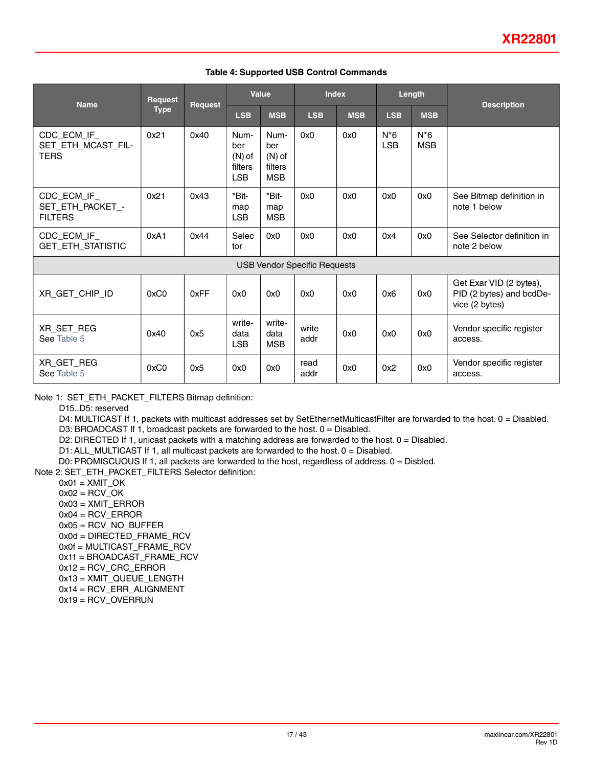#### **Table 4: Supported USB Control Commands**

| <b>Name</b>                                       | <b>Request</b> |         |                                                  | Value                                            | <b>Index</b>                        |            |                     | Length               |                                                                       |
|---------------------------------------------------|----------------|---------|--------------------------------------------------|--------------------------------------------------|-------------------------------------|------------|---------------------|----------------------|-----------------------------------------------------------------------|
|                                                   | <b>Type</b>    | Request | <b>LSB</b>                                       | <b>MSB</b>                                       | <b>LSB</b>                          | <b>MSB</b> | <b>LSB</b>          | <b>MSB</b>           | <b>Description</b>                                                    |
| CDC_ECM_IF_<br>SET_ETH_MCAST_FIL-<br><b>TERS</b>  | 0x21           | 0x40    | Num-<br>ber<br>$(N)$ of<br>filters<br><b>LSB</b> | Num-<br>ber<br>$(N)$ of<br>filters<br><b>MSB</b> | 0x0                                 | 0x0        | $N*6$<br><b>LSB</b> | $N^*6$<br><b>MSB</b> |                                                                       |
| CDC_ECM_IF_<br>SET_ETH_PACKET_-<br><b>FILTERS</b> | 0x21           | 0x43    | *Bit-<br>map<br><b>LSB</b>                       | *Bit-<br>map<br><b>MSB</b>                       | 0x0                                 | 0x0        | 0x0                 | 0x0                  | See Bitmap definition in<br>note 1 below                              |
| CDC_ECM_IF_<br>GET_ETH_STATISTIC                  | 0xA1           | 0x44    | Selec<br>tor                                     | 0x0                                              | 0x0                                 | 0x0        | 0x4                 | 0x0                  | See Selector definition in<br>note 2 below                            |
|                                                   |                |         |                                                  |                                                  | <b>USB Vendor Specific Requests</b> |            |                     |                      |                                                                       |
| XR_GET_CHIP_ID                                    | 0xC0           | 0xFF    | 0x0                                              | 0x0                                              | 0x0                                 | 0x0        | 0x6                 | 0x0                  | Get Exar VID (2 bytes),<br>PID (2 bytes) and bcdDe-<br>vice (2 bytes) |
| XR_SET_REG<br>See Table 5                         | 0x40           | 0x5     | write-<br>data<br><b>LSB</b>                     | write-<br>data<br><b>MSB</b>                     | write<br>addr                       | 0x0        | 0x0                 | 0x0                  | Vendor specific register<br>access.                                   |
| XR GET REG<br>See Table 5                         | 0xC0           | 0x5     | 0x0                                              | 0x0                                              | read<br>addr                        | 0x0        | 0x2                 | 0x0                  | Vendor specific register<br>access.                                   |

Note 1: SET\_ETH\_PACKET\_FILTERS Bitmap definition:

D15..D5: reserved

D4: MULTICAST If 1, packets with multicast addresses set by SetEthernetMulticastFilter are forwarded to the host. 0 = Disabled.

D3: BROADCAST If 1, broadcast packets are forwarded to the host.  $0 =$  Disabled.

D2: DIRECTED If 1, unicast packets with a matching address are forwarded to the host. 0 = Disabled.

D1: ALL\_MULTICAST If 1, all multicast packets are forwarded to the host. 0 = Disabled.

D0: PROMISCUOUS If 1, all packets are forwarded to the host, regardless of address. 0 = Disbled.

Note 2: SET\_ETH\_PACKET\_FILTERS Selector definition:

 $0x01 = XMLT$  OK

- $0x02 = RCV$  OK
- $0x03 = XML$  ERROR
- 0x04 = RCV\_ERROR
- 0x05 = RCV\_NO\_BUFFER

0x0d = DIRECTED\_FRAME\_RCV

0x0f = MULTICAST\_FRAME\_RCV

0x11 = BROADCAST\_FRAME\_RCV

- 0x12 = RCV\_CRC\_ERROR
- 0x13 = XMIT\_QUEUE\_LENGTH
- 0x14 = RCV\_ERR\_ALIGNMENT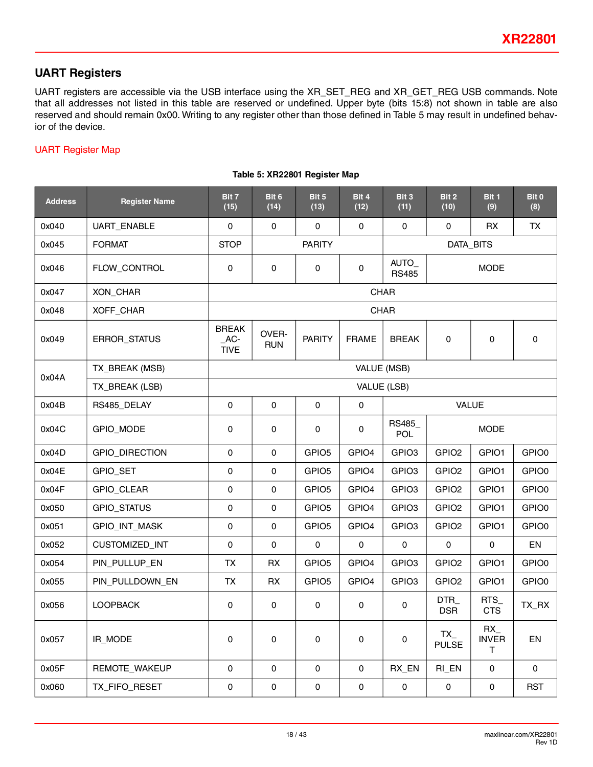## **UART Registers**

UART registers are accessible via the USB interface using the XR\_SET\_REG and XR\_GET\_REG USB commands. Note that all addresses not listed in this table are reserved or undefined. Upper byte (bits 15:8) not shown in table are also reserved and should remain 0x00. Writing to any register other than those defined in Table 5 may result in undefined behavior of the device.

### <span id="page-17-0"></span>UART Register Map

| <b>Address</b> | <b>Register Name</b>                   | Bit 7<br>(15)                        | Bit 6<br>(14)       | Bit 5<br>(13)     | Bit 4<br>(12)       | Bit 3<br>(11)                       | Bit 2<br>(10)       | Bit 1<br>(9)                   | Bit 0<br>(8) |  |  |
|----------------|----------------------------------------|--------------------------------------|---------------------|-------------------|---------------------|-------------------------------------|---------------------|--------------------------------|--------------|--|--|
| 0x040          | UART_ENABLE                            | 0                                    | 0                   | $\mathbf 0$       | $\mathbf 0$         | $\mathsf{O}\xspace$                 | 0                   | <b>RX</b>                      | TX           |  |  |
| 0x045          | <b>FORMAT</b>                          | <b>STOP</b>                          |                     | <b>PARITY</b>     |                     |                                     |                     | DATA_BITS                      |              |  |  |
| 0x046          | FLOW_CONTROL                           | 0                                    | 0                   | $\mathbf 0$       | $\mathbf 0$         | AUTO_<br><b>RS485</b>               |                     | <b>MODE</b>                    |              |  |  |
| 0x047          | XON_CHAR                               |                                      |                     |                   |                     | <b>CHAR</b>                         |                     |                                |              |  |  |
| 0x048          | XOFF_CHAR                              |                                      |                     |                   |                     | <b>CHAR</b>                         |                     |                                |              |  |  |
| 0x049          | ERROR_STATUS                           | <b>BREAK</b><br>$AC-$<br><b>TIVE</b> | OVER-<br><b>RUN</b> | <b>PARITY</b>     | <b>FRAME</b>        | <b>BREAK</b>                        | 0                   | 0                              | $\pmb{0}$    |  |  |
| 0x04A          | TX_BREAK (MSB)                         |                                      |                     |                   | VALUE (MSB)         |                                     |                     |                                |              |  |  |
|                | TX_BREAK (LSB)                         |                                      |                     |                   |                     | VALUE (LSB)                         |                     |                                |              |  |  |
| 0x04B          | RS485_DELAY                            | $\mathsf{O}\xspace$                  | $\pmb{0}$           | $\mathbf 0$       | $\mathsf{O}\xspace$ | VALUE                               |                     |                                |              |  |  |
| 0x04C          | GPIO_MODE                              | 0                                    | $\pmb{0}$           | $\mathbf 0$       | 0                   | RS485_<br><b>MODE</b><br><b>POL</b> |                     |                                |              |  |  |
| 0x04D          | GPIO_DIRECTION                         | 0                                    | 0                   | GPIO <sub>5</sub> | GPIO4               | GPIO <sub>3</sub>                   | GPIO <sub>2</sub>   | GPIO1                          | GPIO0        |  |  |
| 0x04E          | GPIO_SET                               | 0                                    | 0                   | GPIO <sub>5</sub> | GPIO4               | GPIO <sub>3</sub>                   | GPIO <sub>2</sub>   | GPIO1                          | GPIO0        |  |  |
| 0x04F          | GPIO_CLEAR                             | 0                                    | 0                   | GPIO <sub>5</sub> | GPIO4               | GPIO <sub>3</sub>                   | GPIO <sub>2</sub>   | GPIO1                          | GPIO0        |  |  |
| 0x050          | GPIO_STATUS                            | 0                                    | 0                   | GPIO <sub>5</sub> | GPIO4               | GPIO <sub>3</sub>                   | GPIO <sub>2</sub>   | GPIO1                          | GPIO0        |  |  |
| 0x051          | GPIO_INT_MASK                          | 0                                    | $\pmb{0}$           | GPIO <sub>5</sub> | GPIO4               | GPIO <sub>3</sub>                   | GPIO <sub>2</sub>   | GPIO1                          | GPIO0        |  |  |
| 0x052          | CUSTOMIZED_INT                         | $\mathbf 0$                          | $\mathbf 0$         | $\mathbf 0$       | 0                   | $\mathbf 0$                         | $\mathsf{O}\xspace$ | $\mathbf 0$                    | EN           |  |  |
| 0x054          | PIN_PULLUP_EN                          | <b>TX</b>                            | RX                  | GPIO <sub>5</sub> | GPIO4               | GPIO <sub>3</sub>                   | GPIO <sub>2</sub>   | GPIO1                          | GPIO0        |  |  |
| 0x055          | PIN_PULLDOWN_EN                        | TX                                   | RX                  | GPIO <sub>5</sub> | GPIO4               | GPIO <sub>3</sub>                   | GPIO <sub>2</sub>   | GPIO1                          | GPIO0        |  |  |
| 0x056          | <b>LOOPBACK</b>                        | 0                                    | 0                   | $\mathbf 0$       | $\mathbf 0$         | 0                                   | DTR_<br><b>DSR</b>  | RTS_<br><b>CTS</b>             | TX_RX        |  |  |
| 0x057          | IR_MODE                                | 0                                    | $\pmb{0}$           | $\mathbf 0$       | $\mathbf 0$         | 0                                   | TX<br><b>PULSE</b>  | $RX_{-}$<br><b>INVER</b><br>T. | EN           |  |  |
| 0x05F          | REMOTE_WAKEUP<br>0<br>0<br>$\mathbf 0$ |                                      |                     | $\mathbf 0$       | RX_EN               | RI_EN                               | 0                   | 0                              |              |  |  |
| 0x060          | TX_FIFO_RESET                          | 0                                    | $\pmb{0}$           | $\mathbf 0$       | $\mathsf{O}$        | 0                                   | 0                   | 0                              | <b>RST</b>   |  |  |

#### **Table 5: XR22801 Register Map**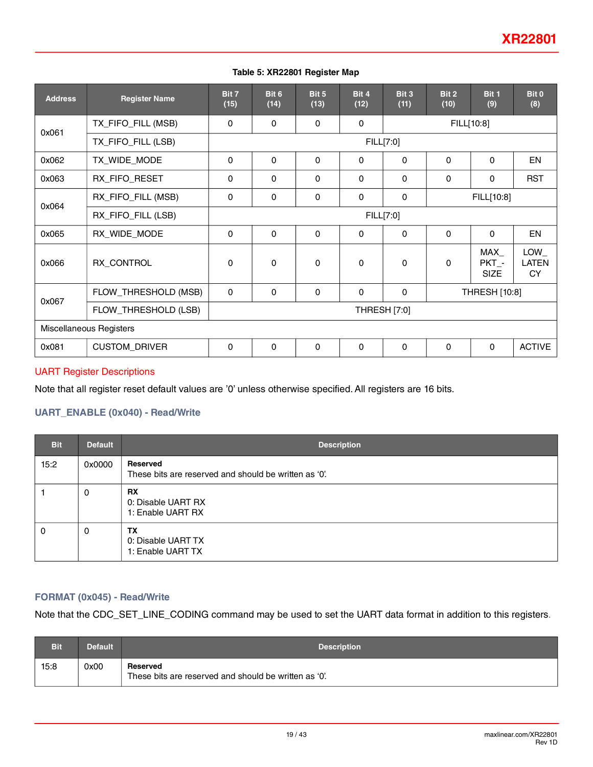#### **Table 5: XR22801 Register Map**

| <b>Address</b>          | <b>Register Name</b>                 | Bit 7<br>(15) | Bit 6<br>(14) | Bit 5<br>(13) | Bit 4<br>(12) | Bit 3<br>(11) | Bit 2<br>(10) | Bit 1<br>(9)                | Bit 0<br>(8)              |  |
|-------------------------|--------------------------------------|---------------|---------------|---------------|---------------|---------------|---------------|-----------------------------|---------------------------|--|
| 0x061                   | TX_FIFO_FILL (MSB)                   | $\Omega$      | $\Omega$      | 0             | 0             |               | FILL[10:8]    |                             |                           |  |
|                         | TX_FIFO_FILL (LSB)                   |               |               |               |               | FILL[7:0]     |               |                             |                           |  |
| 0x062                   | TX_WIDE_MODE                         | $\Omega$      | $\Omega$      | $\Omega$      | $\Omega$      | $\mathbf{0}$  | $\mathbf{0}$  | $\Omega$                    | EN                        |  |
| 0x063                   | RX_FIFO_RESET                        | $\Omega$      | $\Omega$      | $\Omega$      | $\Omega$      | $\mathbf{0}$  | $\mathbf{0}$  | $\Omega$                    | <b>RST</b>                |  |
| 0x064                   | RX_FIFO_FILL (MSB)                   | $\Omega$      | 0             | 0             | $\Omega$      | $\Omega$      | FILL[10:8]    |                             |                           |  |
|                         | RX_FIFO_FILL (LSB)<br>FILL[7:0]      |               |               |               |               |               |               |                             |                           |  |
| 0x065                   | RX_WIDE_MODE                         | $\Omega$      | $\Omega$      | $\Omega$      | $\Omega$      | $\Omega$      | $\Omega$      | $\Omega$                    | <b>EN</b>                 |  |
| 0x066                   | RX_CONTROL                           | $\Omega$      | $\Omega$      | 0             | $\Omega$      | $\Omega$      | $\Omega$      | MAX<br>PKT -<br><b>SIZE</b> | LOW<br>LATEN<br><b>CY</b> |  |
|                         | FLOW_THRESHOLD (MSB)                 | $\Omega$      | $\Omega$      | $\Omega$      | $\Omega$      | $\Omega$      |               | THRESH [10:8]               |                           |  |
| 0x067                   | FLOW_THRESHOLD (LSB)<br>THRESH [7:0] |               |               |               |               |               |               |                             |                           |  |
| Miscellaneous Registers |                                      |               |               |               |               |               |               |                             |                           |  |
| 0x081                   | <b>CUSTOM_DRIVER</b>                 | $\mathbf{0}$  | 0             | 0             | 0             | $\mathbf{0}$  | $\mathbf{0}$  | $\Omega$                    | <b>ACTIVE</b>             |  |

#### UART Register Descriptions

Note that all register reset default values are '0' unless otherwise specified. All registers are 16 bits.

### **UART\_ENABLE (0x040) - Read/Write**

| <b>Bit</b> | <b>Default</b> | <b>Description</b>                                                |
|------------|----------------|-------------------------------------------------------------------|
| 15:2       | 0x0000         | Reserved<br>These bits are reserved and should be written as '0'. |
|            | 0              | <b>RX</b><br>0: Disable UART RX<br>1: Enable UART RX              |
| 0          | 0              | <b>TX</b><br>0: Disable UART TX<br>1: Enable UART TX              |

### **FORMAT (0x045) - Read/Write**

Note that the CDC\_SET\_LINE\_CODING command may be used to set the UART data format in addition to this registers.

| Bit  | <b>Default</b> | <b>Description</b>                                                |
|------|----------------|-------------------------------------------------------------------|
| 15:8 | 0x00           | Reserved<br>These bits are reserved and should be written as '0'. |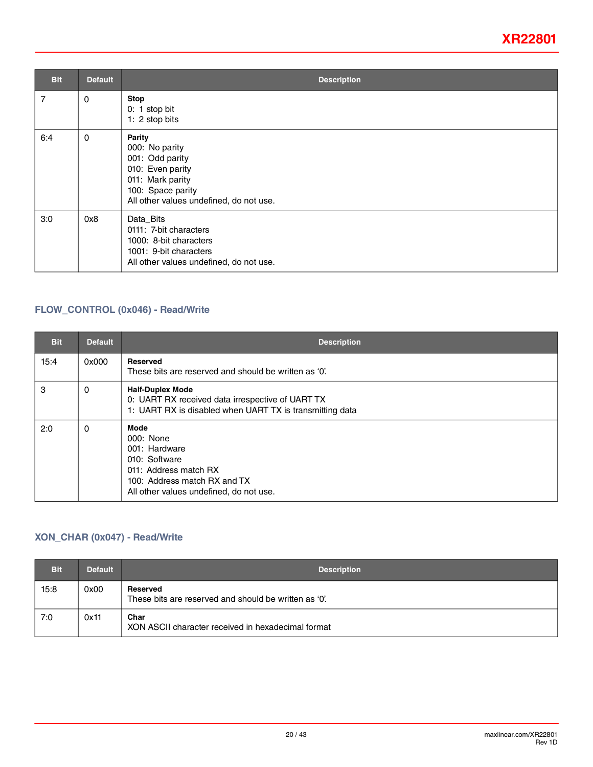| <b>Bit</b> | <b>Default</b> | <b>Description</b>                                                                                                                                         |
|------------|----------------|------------------------------------------------------------------------------------------------------------------------------------------------------------|
| 7          | 0              | <b>Stop</b><br>$0: 1$ stop bit<br>1: 2 stop bits                                                                                                           |
| 6:4        | $\mathbf 0$    | <b>Parity</b><br>000: No parity<br>001: Odd parity<br>010: Even parity<br>011: Mark parity<br>100: Space parity<br>All other values undefined, do not use. |
| 3:0        | 0x8            | Data_Bits<br>0111: 7-bit characters<br>1000: 8-bit characters<br>1001: 9-bit characters<br>All other values undefined, do not use.                         |

### <span id="page-19-0"></span>**FLOW\_CONTROL (0x046) - Read/Write**

| <b>Bit</b> | <b>Default</b> | <b>Description</b>                                                                                                                                      |
|------------|----------------|---------------------------------------------------------------------------------------------------------------------------------------------------------|
| 15:4       | 0x000          | <b>Reserved</b><br>These bits are reserved and should be written as '0'.                                                                                |
| 3          | 0              | <b>Half-Duplex Mode</b><br>0: UART RX received data irrespective of UART TX<br>1: UART RX is disabled when UART TX is transmitting data                 |
| 2:0        | 0              | Mode<br>000: None<br>001: Hardware<br>010: Software<br>011: Address match RX<br>100: Address match RX and TX<br>All other values undefined, do not use. |

### **XON\_CHAR (0x047) - Read/Write**

| <b>Bit</b> | <b>Default</b> | <b>Description</b>                                                |
|------------|----------------|-------------------------------------------------------------------|
| 15:8       | 0x00           | Reserved<br>These bits are reserved and should be written as '0'. |
| 7:0        | 0x11           | Char<br>XON ASCII character received in hexadecimal format        |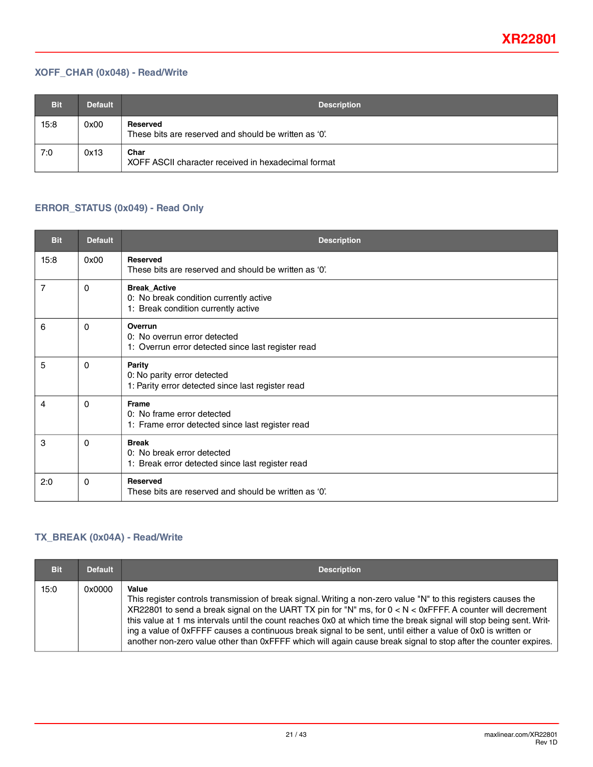### **XOFF\_CHAR (0x048) - Read/Write**

| <b>Bit</b> | <b>Default</b> | <b>Description</b>                                                |
|------------|----------------|-------------------------------------------------------------------|
| 15:8       | 0x00           | Reserved<br>These bits are reserved and should be written as '0'. |
| 7:0        | 0x13           | Char<br>XOFF ASCII character received in hexadecimal format       |

### **ERROR\_STATUS (0x049) - Read Only**

| <b>Bit</b>     | <b>Default</b> | <b>Description</b>                                                                                   |
|----------------|----------------|------------------------------------------------------------------------------------------------------|
| 15:8           | 0x00           | <b>Reserved</b><br>These bits are reserved and should be written as '0'.                             |
| $\overline{7}$ | 0              | <b>Break Active</b><br>0: No break condition currently active<br>1: Break condition currently active |
| 6              | 0              | Overrun<br>0: No overrun error detected<br>1: Overrun error detected since last register read        |
| 5              | 0              | <b>Parity</b><br>0: No parity error detected<br>1: Parity error detected since last register read    |
| 4              | 0              | <b>Frame</b><br>0: No frame error detected<br>1: Frame error detected since last register read       |
| 3              | 0              | <b>Break</b><br>0: No break error detected<br>1: Break error detected since last register read       |
| 2:0            | $\Omega$       | Reserved<br>These bits are reserved and should be written as '0'.                                    |

### **TX\_BREAK (0x04A) - Read/Write**

| <b>Bit</b> | <b>Default</b> | <b>Description</b>                                                                                                                                                                                                                                                                                                                                                                                                                                                                                                                                                                                 |
|------------|----------------|----------------------------------------------------------------------------------------------------------------------------------------------------------------------------------------------------------------------------------------------------------------------------------------------------------------------------------------------------------------------------------------------------------------------------------------------------------------------------------------------------------------------------------------------------------------------------------------------------|
| 15:0       | 0x0000         | Value<br>This register controls transmission of break signal. Writing a non-zero value "N" to this registers causes the<br>XR22801 to send a break signal on the UART TX pin for "N" ms, for $0 < N < 0$ xFFFF. A counter will decrement<br>this value at 1 ms intervals until the count reaches 0x0 at which time the break signal will stop being sent. Writ-<br>ing a value of 0xFFFF causes a continuous break signal to be sent, until either a value of 0x0 is written or<br>another non-zero value other than 0xFFFF which will again cause break signal to stop after the counter expires. |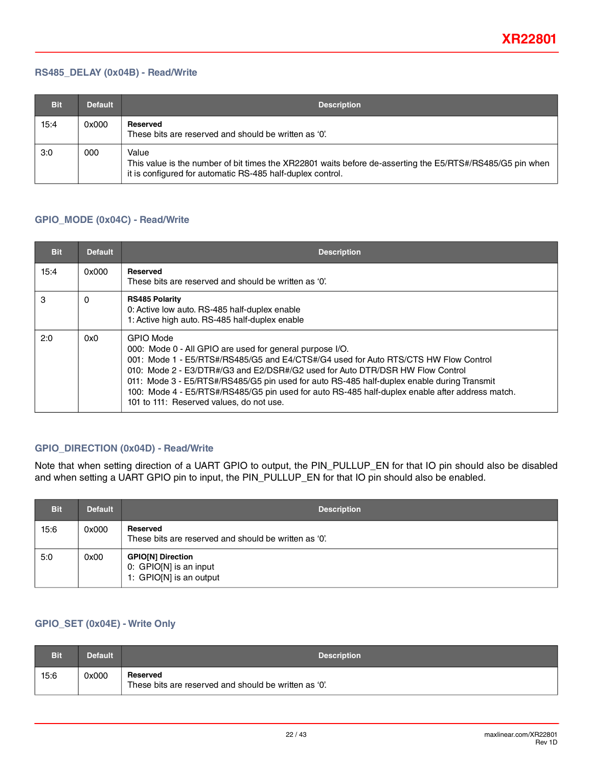#### **RS485\_DELAY (0x04B) - Read/Write**

| <b>Bit</b> | <b>Default</b> | <b>Description</b>                                                                                                                                                               |
|------------|----------------|----------------------------------------------------------------------------------------------------------------------------------------------------------------------------------|
| 15:4       | 0x000          | Reserved<br>These bits are reserved and should be written as '0'.                                                                                                                |
| 3:0        | 000            | Value<br>This value is the number of bit times the XR22801 waits before de-asserting the E5/RTS#/RS485/G5 pin when<br>it is configured for automatic RS-485 half-duplex control. |

### <span id="page-21-0"></span>**GPIO\_MODE (0x04C) - Read/Write**

| <b>Bit</b> | <b>Default</b> | <b>Description</b>                                                                                                                                                                                                                                                                                                                                                                                                                                                                                |
|------------|----------------|---------------------------------------------------------------------------------------------------------------------------------------------------------------------------------------------------------------------------------------------------------------------------------------------------------------------------------------------------------------------------------------------------------------------------------------------------------------------------------------------------|
| 15:4       | 0x000          | <b>Reserved</b><br>These bits are reserved and should be written as '0'.                                                                                                                                                                                                                                                                                                                                                                                                                          |
| 3          | 0              | <b>RS485 Polarity</b><br>0: Active low auto. RS-485 half-duplex enable<br>1: Active high auto. RS-485 half-duplex enable                                                                                                                                                                                                                                                                                                                                                                          |
| 2:0        | 0x0            | <b>GPIO Mode</b><br>000: Mode 0 - All GPIO are used for general purpose I/O.<br>001: Mode 1 - E5/RTS#/RS485/G5 and E4/CTS#/G4 used for Auto RTS/CTS HW Flow Control<br>010: Mode 2 - E3/DTR#/G3 and E2/DSR#/G2 used for Auto DTR/DSR HW Flow Control<br>011: Mode 3 - E5/RTS#/RS485/G5 pin used for auto RS-485 half-duplex enable during Transmit<br>100: Mode 4 - E5/RTS#/RS485/G5 pin used for auto RS-485 half-duplex enable after address match.<br>101 to 111: Reserved values, do not use. |

### **GPIO\_DIRECTION (0x04D) - Read/Write**

Note that when setting direction of a UART GPIO to output, the PIN\_PULLUP\_EN for that IO pin should also be disabled and when setting a UART GPIO pin to input, the PIN\_PULLUP\_EN for that IO pin should also be enabled.

| <b>Bit</b> | <b>Default</b> | <b>Description</b>                                                            |
|------------|----------------|-------------------------------------------------------------------------------|
| 15:6       | 0x000          | Reserved<br>These bits are reserved and should be written as '0'.             |
| 5:0        | 0x00           | <b>GPIO[N] Direction</b><br>0: GPIO[N] is an input<br>1: GPIO[N] is an output |

### **GPIO\_SET (0x04E) - Write Only**

| Bit  | Default | <b>Description</b>                                                |
|------|---------|-------------------------------------------------------------------|
| 15:6 | 0x000   | Reserved<br>These bits are reserved and should be written as '0'. |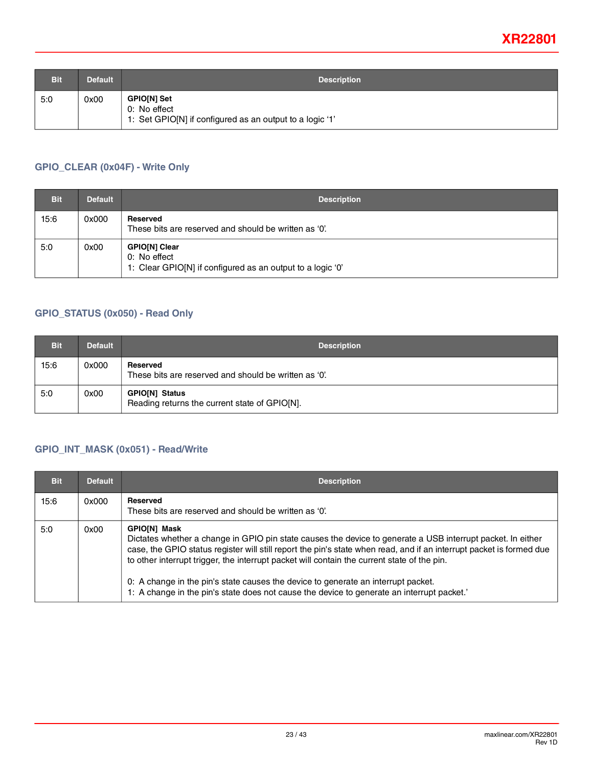| <b>Bit</b> | <b>Default</b> | <b>Description</b>                                                                             |
|------------|----------------|------------------------------------------------------------------------------------------------|
| 5:0        | 0x00           | <b>GPIO[N] Set</b><br>0: No effect<br>1: Set GPIO[N] if configured as an output to a logic '1' |

### **GPIO\_CLEAR (0x04F) - Write Only**

| <b>Bit</b> | <b>Default</b> | <b>Description</b>                                                                          |
|------------|----------------|---------------------------------------------------------------------------------------------|
| 15:6       | 0x000          | Reserved<br>These bits are reserved and should be written as '0'.                           |
| 5:0        | 0x00           | GPIO[N] Clear<br>0: No effect<br>1: Clear GPIO[N] if configured as an output to a logic '0' |

#### **GPIO\_STATUS (0x050) - Read Only**

| <b>Bit</b> | <b>Default</b> | <b>Description</b>                                                |
|------------|----------------|-------------------------------------------------------------------|
| 15:6       | 0x000          | Reserved<br>These bits are reserved and should be written as '0'. |
| 5:0        | 0x00           | GPIO[N] Status<br>Reading returns the current state of GPIO[N].   |

### **GPIO\_INT\_MASK (0x051) - Read/Write**

| <b>Bit</b> | <b>Default</b> | <b>Description</b>                                                                                                                                                                                                                                                                                                                                                                                                                                                                                                                          |
|------------|----------------|---------------------------------------------------------------------------------------------------------------------------------------------------------------------------------------------------------------------------------------------------------------------------------------------------------------------------------------------------------------------------------------------------------------------------------------------------------------------------------------------------------------------------------------------|
| 15:6       | 0x000          | Reserved<br>These bits are reserved and should be written as '0'.                                                                                                                                                                                                                                                                                                                                                                                                                                                                           |
| 5:0        | 0x00           | <b>GPIO[N] Mask</b><br>Dictates whether a change in GPIO pin state causes the device to generate a USB interrupt packet. In either<br>case, the GPIO status register will still report the pin's state when read, and if an interrupt packet is formed due<br>to other interrupt trigger, the interrupt packet will contain the current state of the pin.<br>0: A change in the pin's state causes the device to generate an interrupt packet.<br>1: A change in the pin's state does not cause the device to generate an interrupt packet. |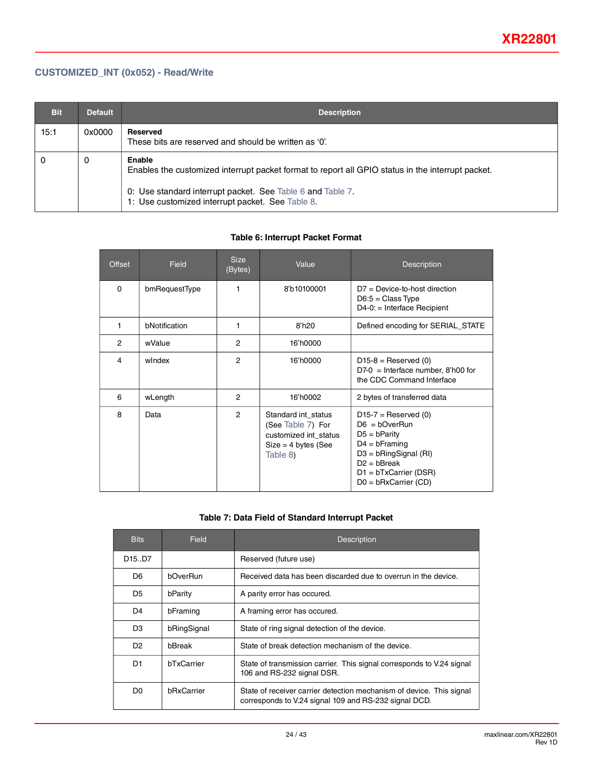### **CUSTOMIZED\_INT (0x052) - Read/Write**

| <b>Bit</b> | <b>Default</b> | <b>Description</b>                                                                                                                                                                                                            |
|------------|----------------|-------------------------------------------------------------------------------------------------------------------------------------------------------------------------------------------------------------------------------|
| 15:1       | 0x0000         | Reserved<br>These bits are reserved and should be written as '0'.                                                                                                                                                             |
| 0          | 0              | Enable<br>Enables the customized interrupt packet format to report all GPIO status in the interrupt packet.<br>0: Use standard interrupt packet. See Table 6 and Table 7.<br>1: Use customized interrupt packet. See Table 8. |

#### **Table 6: Interrupt Packet Format**

<span id="page-23-0"></span>

| Offset         | <b>Field</b>  | <b>Size</b><br>(Bytes) | Value                                                                                                  | <b>Description</b>                                                                                                                                                               |
|----------------|---------------|------------------------|--------------------------------------------------------------------------------------------------------|----------------------------------------------------------------------------------------------------------------------------------------------------------------------------------|
| $\Omega$       | bmRequestType | 1                      | 8'b10100001                                                                                            | $D7 = Device-to-host direction$<br>$D6:5 = Class Type$<br>D4-0: = Interface Recipient                                                                                            |
| 1              | bNotification | 1                      | 8'h20                                                                                                  | Defined encoding for SERIAL_STATE                                                                                                                                                |
| $\overline{2}$ | wValue        | $\overline{2}$         | 16'h0000                                                                                               |                                                                                                                                                                                  |
| 4              | windex        | $\overline{2}$         | 16'h0000                                                                                               | $D15-8$ = Reserved (0)<br>$D7-0$ = Interface number, 8'h00 for<br>the CDC Command Interface                                                                                      |
| 6              | wLength       | 2                      | 16'h0002                                                                                               | 2 bytes of transferred data                                                                                                                                                      |
| 8              | Data          | $\overline{2}$         | Standard int status<br>(See Table 7) For<br>customized int_status<br>$Size = 4 bytes (See$<br>Table 8) | $D15-7$ = Reserved (0)<br>$D6 = bOverRun$<br>$D5 = b$ Parity<br>$D4 = b$ Framing<br>$D3 = bRingSignal (RI)$<br>$D2 = hBreak$<br>$D1 = bTxCarrier(DSR)$<br>$D0 = bRxCarrier (CD)$ |

### **Table 7: Data Field of Standard Interrupt Packet**

<span id="page-23-1"></span>

| <b>Bits</b>                     | Field              | Description                                                                                                                   |  |
|---------------------------------|--------------------|-------------------------------------------------------------------------------------------------------------------------------|--|
| D <sub>15</sub> .D <sub>7</sub> |                    | Reserved (future use)                                                                                                         |  |
| D <sub>6</sub>                  | <b>hOverRun</b>    | Received data has been discarded due to overrun in the device.                                                                |  |
| D <sub>5</sub>                  | bParity            | A parity error has occured.                                                                                                   |  |
| D4                              | bFraming           | A framing error has occured.                                                                                                  |  |
| D <sub>3</sub>                  | bRingSignal        | State of ring signal detection of the device.                                                                                 |  |
| D <sub>2</sub>                  | <b>b</b> Break     | State of break detection mechanism of the device.                                                                             |  |
| D1                              | bTxCarrier         | State of transmission carrier. This signal corresponds to V.24 signal<br>106 and RS-232 signal DSR.                           |  |
| D <sub>0</sub>                  | <b>b</b> RxCarrier | State of receiver carrier detection mechanism of device. This signal<br>corresponds to V.24 signal 109 and RS-232 signal DCD. |  |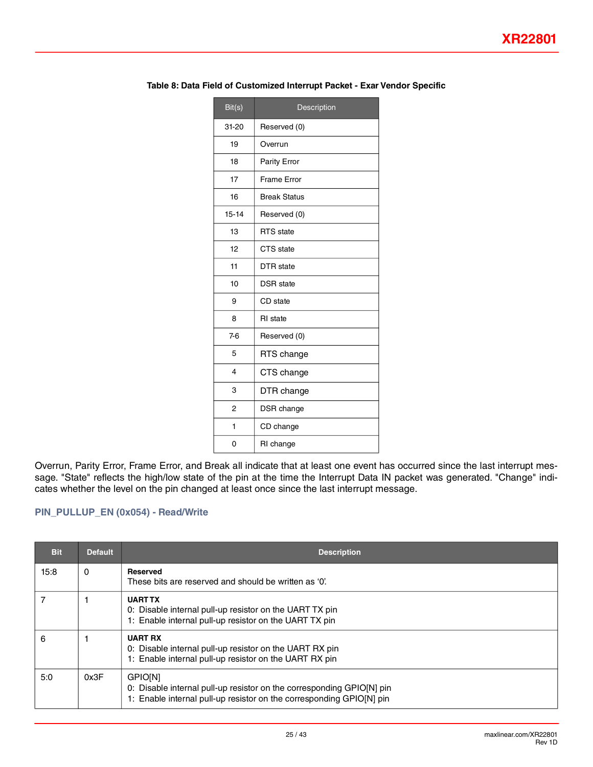| Bit(s)                  | Description         |
|-------------------------|---------------------|
| $31-20$                 | Reserved (0)        |
| 19                      | Overrun             |
| 18                      | Parity Error        |
| 17                      | <b>Frame Error</b>  |
| 16                      | <b>Break Status</b> |
| $15 - 14$               | Reserved (0)        |
| 13                      | <b>RTS</b> state    |
| 12                      | CTS state           |
| 11                      | <b>DTR</b> state    |
| 10                      | <b>DSR</b> state    |
| 9                       | CD state            |
| 8                       | <b>RI</b> state     |
| $7-6$                   | Reserved (0)        |
| 5                       | RTS change          |
| $\overline{\mathbf{4}}$ | CTS change          |
| 3                       | DTR change          |
| $\overline{2}$          | DSR change          |
| 1                       | CD change           |
| 0                       | RI change           |

#### <span id="page-24-0"></span>**Table 8: Data Field of Customized Interrupt Packet - Exar Vendor Specific**

Overrun, Parity Error, Frame Error, and Break all indicate that at least one event has occurred since the last interrupt message. "State" reflects the high/low state of the pin at the time the Interrupt Data IN packet was generated. "Change" indicates whether the level on the pin changed at least once since the last interrupt message.

### **PIN\_PULLUP\_EN (0x054) - Read/Write**

| <b>Bit</b> | <b>Default</b> | <b>Description</b>                                                                                                                                             |
|------------|----------------|----------------------------------------------------------------------------------------------------------------------------------------------------------------|
| 15:8       | 0              | <b>Reserved</b><br>These bits are reserved and should be written as '0'.                                                                                       |
|            |                | <b>UART TX</b><br>0: Disable internal pull-up resistor on the UART TX pin<br>1: Enable internal pull-up resistor on the UART TX pin                            |
| 6          |                | <b>UART RX</b><br>0: Disable internal pull-up resistor on the UART RX pin<br>1: Enable internal pull-up resistor on the UART RX pin                            |
| 5:0        | 0x3F           | <b>GPIONI</b><br>0: Disable internal pull-up resistor on the corresponding GPIO[N] pin<br>1: Enable internal pull-up resistor on the corresponding GPIO[N] pin |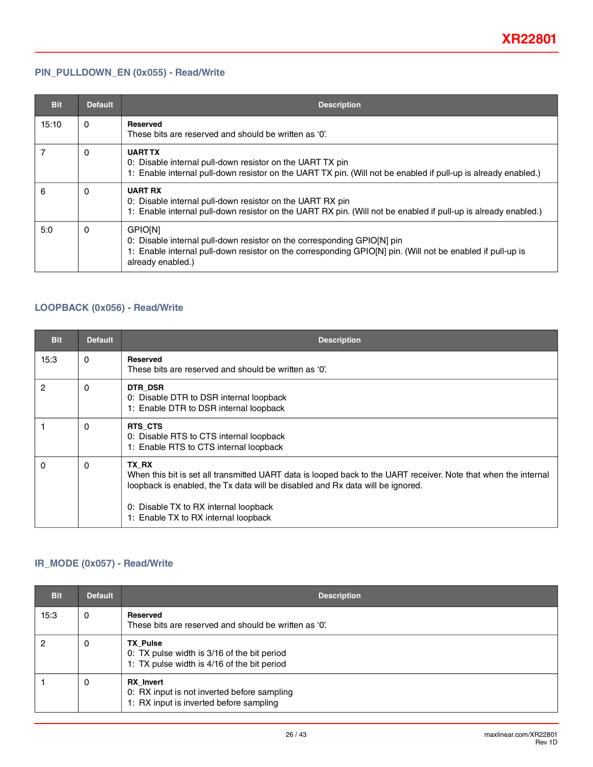### **PIN\_PULLDOWN\_EN (0x055) - Read/Write**

| <b>Bit</b> | <b>Default</b> | <b>Description</b>                                                                                                                                                                                                          |
|------------|----------------|-----------------------------------------------------------------------------------------------------------------------------------------------------------------------------------------------------------------------------|
| 15:10      | 0              | <b>Reserved</b><br>These bits are reserved and should be written as '0'.                                                                                                                                                    |
|            | 0              | <b>UART TX</b><br>0: Disable internal pull-down resistor on the UART TX pin<br>1: Enable internal pull-down resistor on the UART TX pin. (Will not be enabled if pull-up is already enabled.)                               |
| 6          | 0              | <b>UART RX</b><br>0: Disable internal pull-down resistor on the UART RX pin<br>1: Enable internal pull-down resistor on the UART RX pin. (Will not be enabled if pull-up is already enabled.)                               |
| 5:0        | 0              | <b>GPIONI</b><br>0: Disable internal pull-down resistor on the corresponding GPIO[N] pin<br>1: Enable internal pull-down resistor on the corresponding GPIO[N] pin. (Will not be enabled if pull-up is<br>already enabled.) |

### **LOOPBACK (0x056) - Read/Write**

| <b>Bit</b>     | <b>Default</b> | <b>Description</b>                                                                                                                                                                                                                                                                          |
|----------------|----------------|---------------------------------------------------------------------------------------------------------------------------------------------------------------------------------------------------------------------------------------------------------------------------------------------|
| 15:3           | $\Omega$       | <b>Reserved</b><br>These bits are reserved and should be written as '0'.                                                                                                                                                                                                                    |
| $\overline{c}$ | $\Omega$       | DTR DSR<br>0: Disable DTR to DSR internal loopback<br>1: Enable DTR to DSR internal loopback                                                                                                                                                                                                |
|                | 0              | RTS CTS<br>0: Disable RTS to CTS internal loopback<br>1: Enable RTS to CTS internal loopback                                                                                                                                                                                                |
| $\Omega$       | $\Omega$       | TX RX<br>When this bit is set all transmitted UART data is looped back to the UART receiver. Note that when the internal<br>loopback is enabled, the Tx data will be disabled and Rx data will be ignored.<br>0: Disable TX to RX internal loopback<br>1: Enable TX to RX internal loopback |

### **IR\_MODE (0x057) - Read/Write**

| <b>Bit</b> | <b>Default</b> | <b>Description</b>                                                                                            |
|------------|----------------|---------------------------------------------------------------------------------------------------------------|
| 15:3       | 0              | <b>Reserved</b><br>These bits are reserved and should be written as '0'.                                      |
|            | 0              | <b>TX Pulse</b><br>0: TX pulse width is 3/16 of the bit period<br>1: TX pulse width is 4/16 of the bit period |
|            | 0              | <b>RX</b> Invert<br>0: RX input is not inverted before sampling<br>1: RX input is inverted before sampling    |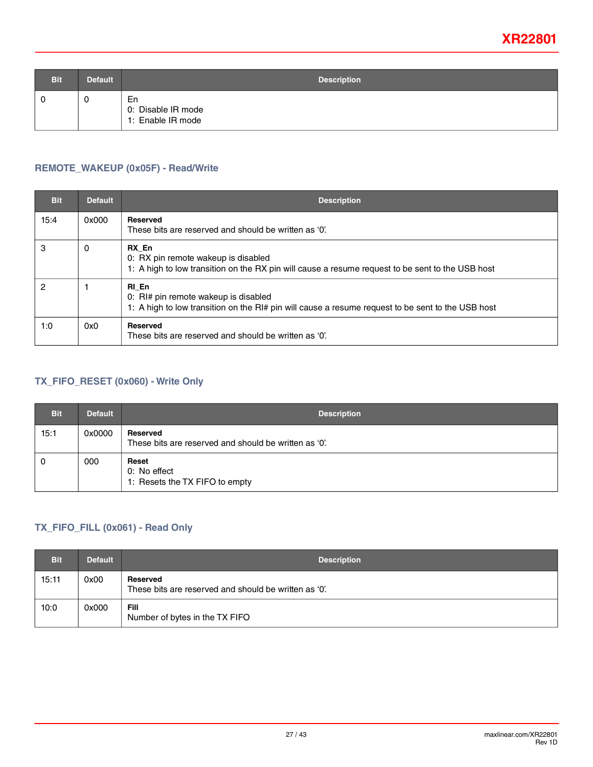| <b>Bit</b> | <b>Default</b> | <b>Description</b>                            |
|------------|----------------|-----------------------------------------------|
|            | 0              | En<br>0: Disable IR mode<br>1: Enable IR mode |

### **REMOTE\_WAKEUP (0x05F) - Read/Write**

| <b>Bit</b> | <b>Default</b> | <b>Description</b>                                                                                                                                 |
|------------|----------------|----------------------------------------------------------------------------------------------------------------------------------------------------|
| 15:4       | 0x000          | <b>Reserved</b><br>These bits are reserved and should be written as '0'.                                                                           |
| 3          | 0              | RX En<br>0: RX pin remote wakeup is disabled<br>1: A high to low transition on the RX pin will cause a resume request to be sent to the USB host   |
| 2          |                | RI En<br>0: RI# pin remote wakeup is disabled<br>1: A high to low transition on the RI# pin will cause a resume request to be sent to the USB host |
| 1:0        | 0x0            | <b>Reserved</b><br>These bits are reserved and should be written as '0'.                                                                           |

### **TX\_FIFO\_RESET (0x060) - Write Only**

| <b>Bit</b> | <b>Default</b> | <b>Description</b>                                                |
|------------|----------------|-------------------------------------------------------------------|
| 15:1       | 0x0000         | Reserved<br>These bits are reserved and should be written as '0'. |
| 0          | 000            | Reset<br>0: No effect<br>1: Resets the TX FIFO to empty           |

### **TX\_FIFO\_FILL (0x061) - Read Only**

| <b>Bit</b> | <b>Default</b> | <b>Description</b>                                                |
|------------|----------------|-------------------------------------------------------------------|
| 15:11      | 0x00           | Reserved<br>These bits are reserved and should be written as '0'. |
| 10:0       | 0x000          | Fill<br>Number of bytes in the TX FIFO                            |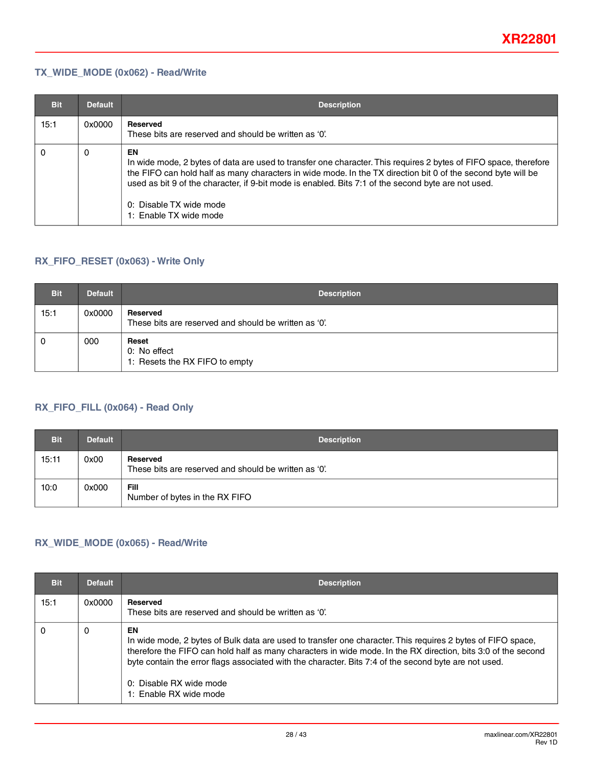### **TX\_WIDE\_MODE (0x062) - Read/Write**

| <b>Bit</b> | <b>Default</b> | <b>Description</b>                                                                                                                                                                                                                                                                                                                                                                                 |
|------------|----------------|----------------------------------------------------------------------------------------------------------------------------------------------------------------------------------------------------------------------------------------------------------------------------------------------------------------------------------------------------------------------------------------------------|
| 15:1       | 0x0000         | Reserved<br>These bits are reserved and should be written as '0'.                                                                                                                                                                                                                                                                                                                                  |
| 0          | 0              | EN<br>In wide mode, 2 bytes of data are used to transfer one character. This requires 2 bytes of FIFO space, therefore<br>the FIFO can hold half as many characters in wide mode. In the TX direction bit 0 of the second byte will be<br>used as bit 9 of the character, if 9-bit mode is enabled. Bits 7:1 of the second byte are not used.<br>0: Disable TX wide mode<br>1: Enable TX wide mode |

### **RX\_FIFO\_RESET (0x063) - Write Only**

| <b>Bit</b> | <b>Default</b> | <b>Description</b>                                                |
|------------|----------------|-------------------------------------------------------------------|
| 15:1       | 0x0000         | Reserved<br>These bits are reserved and should be written as '0'. |
| - 0        | 000            | Reset<br>0: No effect<br>1: Resets the RX FIFO to empty           |

### **RX\_FIFO\_FILL (0x064) - Read Only**

| <b>Bit</b> | <b>Default</b> | <b>Description</b>                                                |
|------------|----------------|-------------------------------------------------------------------|
| 15:11      | 0x00           | Reserved<br>These bits are reserved and should be written as '0'. |
| 10:0       | 0x000          | Fill<br>Number of bytes in the RX FIFO                            |

### **RX\_WIDE\_MODE (0x065) - Read/Write**

| <b>Bit</b> | <b>Default</b> | <b>Description</b>                                                                                                                                                                                                                                                                                                                                                                               |
|------------|----------------|--------------------------------------------------------------------------------------------------------------------------------------------------------------------------------------------------------------------------------------------------------------------------------------------------------------------------------------------------------------------------------------------------|
| 15:1       | 0x0000         | <b>Reserved</b><br>These bits are reserved and should be written as '0'.                                                                                                                                                                                                                                                                                                                         |
| 0          | 0              | EN<br>In wide mode, 2 bytes of Bulk data are used to transfer one character. This requires 2 bytes of FIFO space,<br>therefore the FIFO can hold half as many characters in wide mode. In the RX direction, bits 3:0 of the second<br>byte contain the error flags associated with the character. Bits 7:4 of the second byte are not used.<br>0: Disable RX wide mode<br>1: Enable RX wide mode |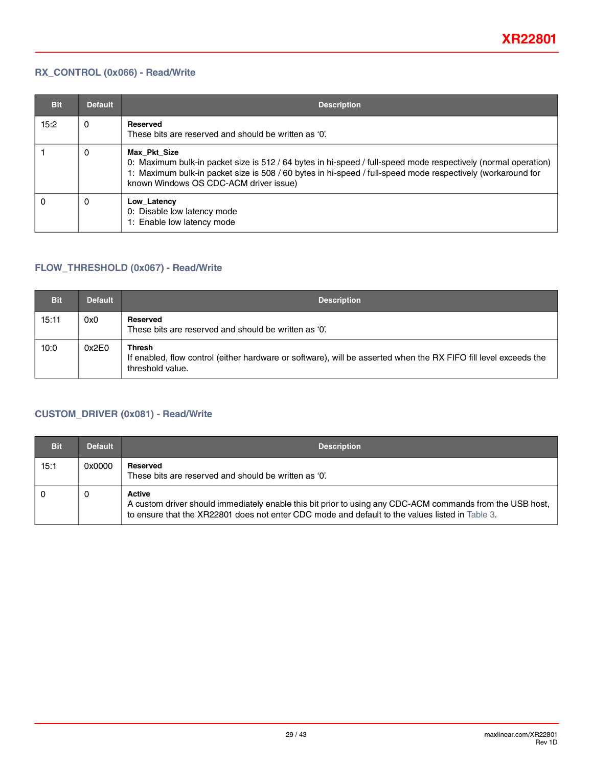### **RX\_CONTROL (0x066) - Read/Write**

| <b>Bit</b> | <b>Default</b> | <b>Description</b>                                                                                                                                                                                                                                                                      |
|------------|----------------|-----------------------------------------------------------------------------------------------------------------------------------------------------------------------------------------------------------------------------------------------------------------------------------------|
| 15:2       | 0              | <b>Reserved</b><br>These bits are reserved and should be written as '0'.                                                                                                                                                                                                                |
|            | 0              | Max Pkt Size<br>0: Maximum bulk-in packet size is 512 / 64 bytes in hi-speed / full-speed mode respectively (normal operation)<br>1: Maximum bulk-in packet size is 508 / 60 bytes in hi-speed / full-speed mode respectively (workaround for<br>known Windows OS CDC-ACM driver issue) |
| 0          | 0              | Low Latency<br>0: Disable low latency mode<br>1: Enable low latency mode                                                                                                                                                                                                                |

### **FLOW\_THRESHOLD (0x067) - Read/Write**

| <b>Bit</b> | <b>Default</b> | <b>Description</b>                                                                                                                                    |
|------------|----------------|-------------------------------------------------------------------------------------------------------------------------------------------------------|
| 15:11      | 0x0            | Reserved<br>These bits are reserved and should be written as '0'.                                                                                     |
| 10:0       | 0x2E0          | <b>Thresh</b><br>If enabled, flow control (either hardware or software), will be asserted when the RX FIFO fill level exceeds the<br>threshold value. |

### **CUSTOM\_DRIVER (0x081) - Read/Write**

| <b>Bit</b> | <b>Default</b> | <b>Description</b>                                                                                                                                                                                                            |
|------------|----------------|-------------------------------------------------------------------------------------------------------------------------------------------------------------------------------------------------------------------------------|
| 15:1       | 0x0000         | Reserved<br>These bits are reserved and should be written as '0'.                                                                                                                                                             |
|            | 0              | <b>Active</b><br>A custom driver should immediately enable this bit prior to using any CDC-ACM commands from the USB host,<br>to ensure that the XR22801 does not enter CDC mode and default to the values listed in Table 3. |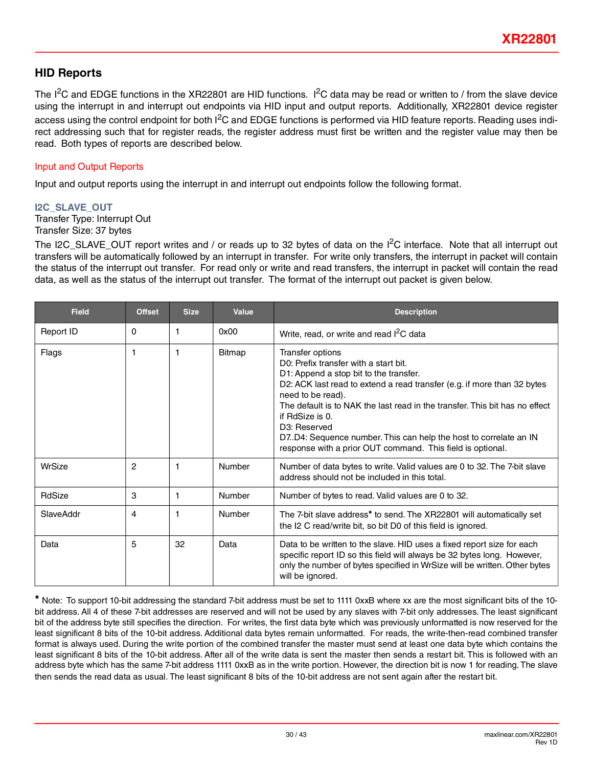### **HID Reports**

The I<sup>2</sup>C and EDGE functions in the XR22801 are HID functions. I<sup>2</sup>C data may be read or written to / from the slave device using the interrupt in and interrupt out endpoints via HID input and output reports. Additionally, XR22801 device register access using the control endpoint for both I<sup>2</sup>C and EDGE functions is performed via HID feature reports. Reading uses indirect addressing such that for register reads, the register address must first be written and the register value may then be read. Both types of reports are described below.

### Input and Output Reports

Input and output reports using the interrupt in and interrupt out endpoints follow the following format.

#### **I2C\_SLAVE\_OUT**

Transfer Type: Interrupt Out Transfer Size: 37 bytes

The I2C SLAVE OUT report writes and / or reads up to 32 bytes of data on the  $I^2C$  interface. Note that all interrupt out transfers will be automatically followed by an interrupt in transfer. For write only transfers, the interrupt in packet will contain the status of the interrupt out transfer. For read only or write and read transfers, the interrupt in packet will contain the read data, as well as the status of the interrupt out transfer. The format of the interrupt out packet is given below.

| <b>Field</b> | <b>Offset</b>  | <b>Size</b> | Value                                                                                                                                                                                                                                                                                                                                                                                                                                                                     | <b>Description</b>                                                                                                                                                                                                                                 |  |  |  |
|--------------|----------------|-------------|---------------------------------------------------------------------------------------------------------------------------------------------------------------------------------------------------------------------------------------------------------------------------------------------------------------------------------------------------------------------------------------------------------------------------------------------------------------------------|----------------------------------------------------------------------------------------------------------------------------------------------------------------------------------------------------------------------------------------------------|--|--|--|
| Report ID    | $\Omega$       | 1           | 0x00                                                                                                                                                                                                                                                                                                                                                                                                                                                                      | Write, read, or write and read I <sup>2</sup> C data                                                                                                                                                                                               |  |  |  |
| Flags        | 1              | 1           | <b>Bitmap</b><br>Transfer options<br>D0: Prefix transfer with a start bit.<br>D1: Append a stop bit to the transfer.<br>D2: ACK last read to extend a read transfer (e.g. if more than 32 bytes<br>need to be read).<br>The default is to NAK the last read in the transfer. This bit has no effect<br>if RdSize is 0.<br>D3: Reserved<br>D7.D4: Sequence number. This can help the host to correlate an IN<br>response with a prior OUT command. This field is optional. |                                                                                                                                                                                                                                                    |  |  |  |
| WrSize       | $\overline{c}$ | 1           | Number                                                                                                                                                                                                                                                                                                                                                                                                                                                                    | Number of data bytes to write. Valid values are 0 to 32. The 7-bit slave<br>address should not be included in this total.                                                                                                                          |  |  |  |
| RdSize       | 3              | 1           | Number                                                                                                                                                                                                                                                                                                                                                                                                                                                                    | Number of bytes to read. Valid values are 0 to 32.                                                                                                                                                                                                 |  |  |  |
| SlaveAddr    | 4              | 1           | Number                                                                                                                                                                                                                                                                                                                                                                                                                                                                    | The 7-bit slave address* to send. The XR22801 will automatically set<br>the I2 C read/write bit, so bit D0 of this field is ignored.                                                                                                               |  |  |  |
| Data         | 5              | 32          | Data                                                                                                                                                                                                                                                                                                                                                                                                                                                                      | Data to be written to the slave. HID uses a fixed report size for each<br>specific report ID so this field will always be 32 bytes long. However,<br>only the number of bytes specified in WrSize will be written. Other bytes<br>will be ignored. |  |  |  |

**\*** Note: To support 10-bit addressing the standard 7-bit address must be set to 1111 0xxB where xx are the most significant bits of the 10 bit address. All 4 of these 7-bit addresses are reserved and will not be used by any slaves with 7-bit only addresses. The least significant bit of the address byte still specifies the direction. For writes, the first data byte which was previously unformatted is now reserved for the least significant 8 bits of the 10-bit address. Additional data bytes remain unformatted. For reads, the write-then-read combined transfer format is always used. During the write portion of the combined transfer the master must send at least one data byte which contains the least significant 8 bits of the 10-bit address. After all of the write data is sent the master then sends a restart bit. This is followed with an address byte which has the same 7-bit address 1111 0xxB as in the write portion. However, the direction bit is now 1 for reading. The slave then sends the read data as usual. The least significant 8 bits of the 10-bit address are not sent again after the restart bit.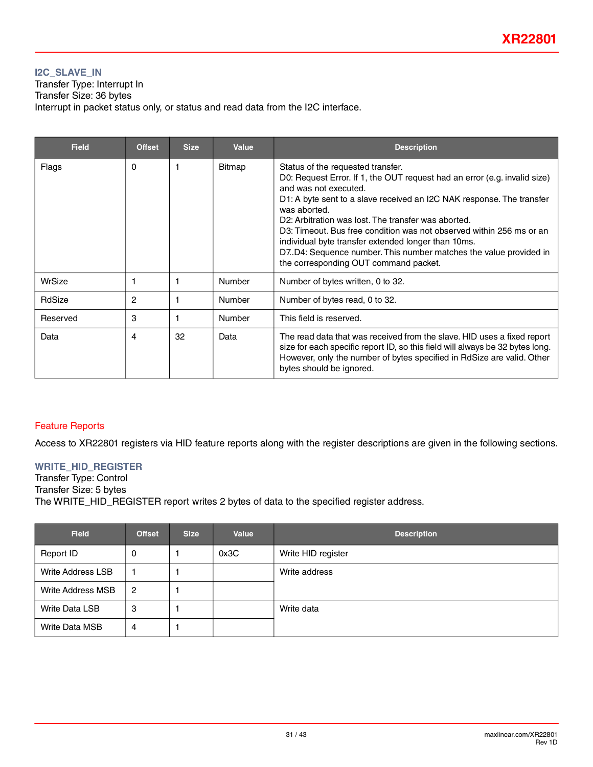### **I2C\_SLAVE\_IN**

Transfer Type: Interrupt In Transfer Size: 36 bytes Interrupt in packet status only, or status and read data from the I2C interface.

| <b>Field</b> | <b>Offset</b> | <b>Size</b> | <b>Value</b>  | <b>Description</b>                                                                                                                                                                                                                                                                                                                                                                                                                                                                                                                   |
|--------------|---------------|-------------|---------------|--------------------------------------------------------------------------------------------------------------------------------------------------------------------------------------------------------------------------------------------------------------------------------------------------------------------------------------------------------------------------------------------------------------------------------------------------------------------------------------------------------------------------------------|
| Flags        | $\Omega$      | 1           | <b>Bitmap</b> | Status of the requested transfer.<br>D0: Request Error. If 1, the OUT request had an error (e.g. invalid size)<br>and was not executed.<br>D1: A byte sent to a slave received an I2C NAK response. The transfer<br>was aborted.<br>D2: Arbitration was lost. The transfer was aborted.<br>D3: Timeout. Bus free condition was not observed within 256 ms or an<br>individual byte transfer extended longer than 10ms.<br>D7.D4: Sequence number. This number matches the value provided in<br>the corresponding OUT command packet. |
| WrSize       |               | 1           | Number        | Number of bytes written, 0 to 32.                                                                                                                                                                                                                                                                                                                                                                                                                                                                                                    |
| RdSize       | 2             |             | Number        | Number of bytes read, 0 to 32.                                                                                                                                                                                                                                                                                                                                                                                                                                                                                                       |
| Reserved     | 3             | 1           | Number        | This field is reserved.                                                                                                                                                                                                                                                                                                                                                                                                                                                                                                              |
| Data         | 4             | 32          | Data          | The read data that was received from the slave. HID uses a fixed report<br>size for each specific report ID, so this field will always be 32 bytes long.<br>However, only the number of bytes specified in RdSize are valid. Other<br>bytes should be ignored.                                                                                                                                                                                                                                                                       |

### Feature Reports

Access to XR22801 registers via HID feature reports along with the register descriptions are given in the following sections.

### **WRITE\_HID\_REGISTER**

Transfer Type: Control Transfer Size: 5 bytes The WRITE\_HID\_REGISTER report writes 2 bytes of data to the specified register address.

| <b>Field</b>             | <b>Offset</b>  | <b>Size</b> | Value | <b>Description</b> |
|--------------------------|----------------|-------------|-------|--------------------|
| Report ID                | 0              |             | 0x3C  | Write HID register |
| <b>Write Address LSB</b> |                |             |       | Write address      |
| <b>Write Address MSB</b> | $\overline{2}$ |             |       |                    |
| <b>Write Data LSB</b>    | 3              |             |       | Write data         |
| <b>Write Data MSB</b>    | 4              |             |       |                    |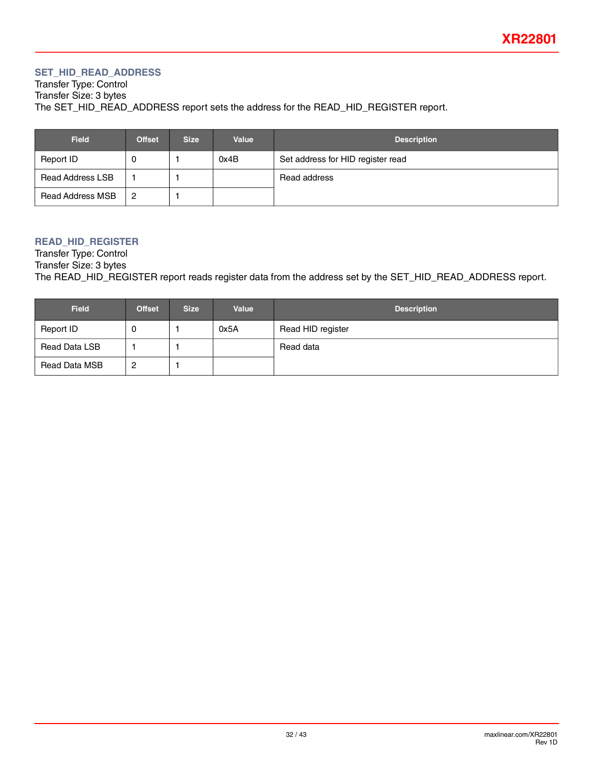### **SET\_HID\_READ\_ADDRESS**

Transfer Type: Control Transfer Size: 3 bytes The SET\_HID\_READ\_ADDRESS report sets the address for the READ\_HID\_REGISTER report.

| <b>Field</b>            | <b>Offset</b> | <b>Size</b> | Value | <b>Description</b>                |
|-------------------------|---------------|-------------|-------|-----------------------------------|
| Report ID               | U             |             | 0x4B  | Set address for HID register read |
| <b>Read Address LSB</b> |               |             |       | Read address                      |
| Read Address MSB        | 2             |             |       |                                   |

### **READ\_HID\_REGISTER**

Transfer Type: Control Transfer Size: 3 bytes The READ\_HID\_REGISTER report reads register data from the address set by the SET\_HID\_READ\_ADDRESS report.

| <b>Field</b>  | <b>Offset</b> | <b>Size</b> | Value | <b>Description</b> |
|---------------|---------------|-------------|-------|--------------------|
| Report ID     | U             |             | 0x5A  | Read HID register  |
| Read Data LSB |               |             |       | Read data          |
| Read Data MSB | 2             |             |       |                    |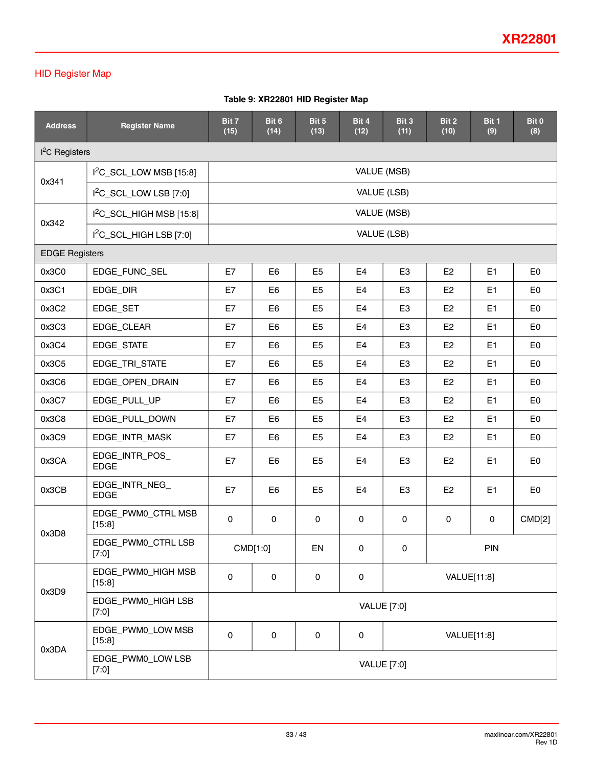### HID Register Map

### **Table 9: XR22801 HID Register Map**

| <b>Address</b>            | <b>Register Name</b>               | Bit 7<br>(15) | Bit 6<br>(14)  | Bit 5<br>(13)      | Bit 4<br>(12)  | Bit 3<br>(11)      | Bit 2<br>(10)  | Bit 1<br>(9)        | Bit 0<br>(8)   |  |
|---------------------------|------------------------------------|---------------|----------------|--------------------|----------------|--------------------|----------------|---------------------|----------------|--|
| <sup>2</sup> C Registers  |                                    |               |                |                    |                |                    |                |                     |                |  |
| $12C$ _SCL_LOW MSB [15:8] |                                    | VALUE (MSB)   |                |                    |                |                    |                |                     |                |  |
| 0x341                     | I <sup>2</sup> C_SCL_LOW LSB [7:0] | VALUE (LSB)   |                |                    |                |                    |                |                     |                |  |
|                           | $12C$ _SCL_HIGH MSB [15:8]         |               |                |                    |                | VALUE (MSB)        |                |                     |                |  |
| 0x342                     | $I2C$ _SCL_HIGH LSB [7:0]          |               |                |                    |                | VALUE (LSB)        |                |                     |                |  |
| <b>EDGE Registers</b>     |                                    |               |                |                    |                |                    |                |                     |                |  |
| 0x3C0                     | EDGE_FUNC_SEL                      | E7            | E <sub>6</sub> | E <sub>5</sub>     | E <sub>4</sub> | E <sub>3</sub>     | E <sub>2</sub> | E <sub>1</sub>      | E <sub>0</sub> |  |
| 0x3C1                     | EDGE_DIR                           | E7            | E <sub>6</sub> | E <sub>5</sub>     | E4             | E <sub>3</sub>     | E <sub>2</sub> | E1                  | E <sub>0</sub> |  |
| 0x3C2                     | EDGE SET                           | E7            | E <sub>6</sub> | E <sub>5</sub>     | E4             | E <sub>3</sub>     | E <sub>2</sub> | E1                  | E <sub>0</sub> |  |
| 0x3C3                     | EDGE_CLEAR                         | E7            | E <sub>6</sub> | E <sub>5</sub>     | E <sub>4</sub> | E <sub>3</sub>     | E <sub>2</sub> | E1                  | E <sub>0</sub> |  |
| 0x3C4                     | EDGE_STATE                         | E7            | E <sub>6</sub> | E <sub>5</sub>     | E4             | E <sub>3</sub>     | E <sub>2</sub> | E <sub>1</sub>      | E <sub>0</sub> |  |
| 0x3C5                     | EDGE_TRI_STATE                     | E7            | E <sub>6</sub> | E <sub>5</sub>     | E4             | E <sub>3</sub>     | E <sub>2</sub> | E <sub>1</sub>      | E <sub>0</sub> |  |
| 0x3C6                     | EDGE_OPEN_DRAIN                    | E7            | E6             | E <sub>5</sub>     | E4             | E <sub>3</sub>     | E <sub>2</sub> | E <sub>1</sub>      | E <sub>0</sub> |  |
| 0x3C7                     | EDGE_PULL_UP                       | E7            | E <sub>6</sub> | E <sub>5</sub>     | E4             | E <sub>3</sub>     | E <sub>2</sub> | E <sub>1</sub>      | E <sub>0</sub> |  |
| 0x3C8                     | EDGE_PULL_DOWN                     | E7            | E <sub>6</sub> | E <sub>5</sub>     | E4             | E <sub>3</sub>     | E <sub>2</sub> | E1                  | E <sub>0</sub> |  |
| 0x3C9                     | EDGE_INTR_MASK                     | E7            | E <sub>6</sub> | E <sub>5</sub>     | E4             | E <sub>3</sub>     | E <sub>2</sub> | E1                  | E <sub>0</sub> |  |
| 0x3CA                     | EDGE_INTR_POS_<br><b>EDGE</b>      | E7            | E <sub>6</sub> | E <sub>5</sub>     | E4             | E <sub>3</sub>     | E <sub>2</sub> | E <sub>1</sub>      | E <sub>0</sub> |  |
| 0x3CB                     | EDGE_INTR_NEG_<br><b>EDGE</b>      | E7            | E <sub>6</sub> | E <sub>5</sub>     | E4             | E <sub>3</sub>     | E <sub>2</sub> | E1                  | E <sub>0</sub> |  |
|                           | EDGE_PWM0_CTRL MSB<br>[15:8]       | $\mathbf 0$   | $\pmb{0}$      | 0                  | $\mathbf 0$    | $\mathbf 0$        | $\mathbf 0$    | $\mathsf{O}\xspace$ | CMD[2]         |  |
| 0x3D8                     | EDGE_PWM0_CTRL LSB<br>$[7:0]$      |               | CMD[1:0]       | EN                 | 0              | 0                  |                | PIN                 |                |  |
|                           | EDGE_PWM0_HIGH MSB<br>[15:8]       | 0             | $\pmb{0}$      | 0                  | 0              |                    | VALUE[11:8]    |                     |                |  |
| 0x3D9                     | EDGE_PWM0_HIGH LSB<br>[7:0]        |               |                | <b>VALUE</b> [7:0] |                |                    |                |                     |                |  |
| 0x3DA                     | EDGE_PWM0_LOW MSB<br>[15:8]        |               | 0              | 0                  | 0              |                    | VALUE[11:8]    |                     |                |  |
|                           | EDGE_PWM0_LOW LSB<br>[7:0]         |               |                |                    |                | <b>VALUE</b> [7:0] |                |                     |                |  |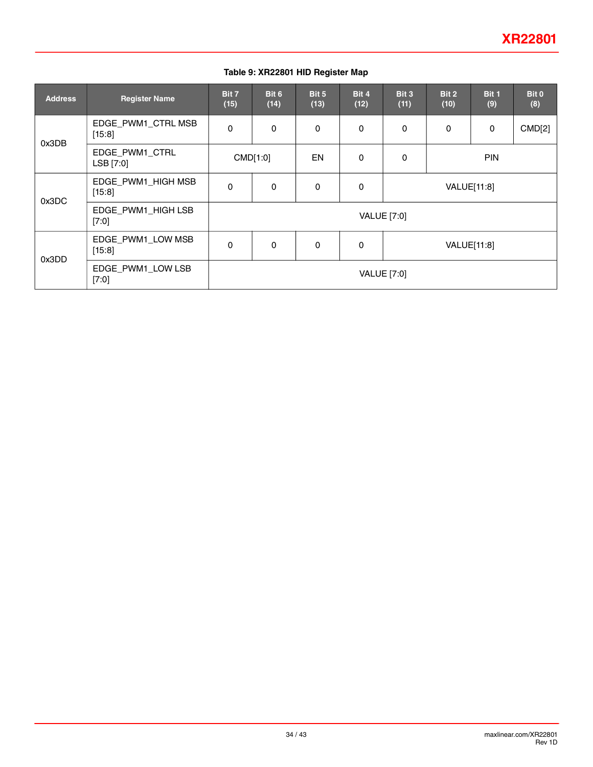#### **Table 9: XR22801 HID Register Map**

| <b>Address</b> | <b>Register Name</b>           | Bit 7<br>(15)      | Bit 6<br>(14) | Bit 5<br>(13) | Bit 4<br>(12) | Bit 3<br>(11) | Bit 2<br>(10) | Bit 1<br>(9) | Bit 0<br>(8) |
|----------------|--------------------------------|--------------------|---------------|---------------|---------------|---------------|---------------|--------------|--------------|
| 0x3DB          | EDGE_PWM1_CTRL MSB<br>[15:8]   | $\Omega$           | $\mathbf 0$   | 0             | 0             | $\Omega$      | 0             | $\mathbf 0$  | CMD[2]       |
|                | EDGE_PWM1_CTRL<br>LSB [7:0]    | CMD[1:0]           |               | <b>EN</b>     | 0             | 0             | <b>PIN</b>    |              |              |
| 0x3DC          | EDGE_PWM1_HIGH MSB<br>$[15:8]$ | $\Omega$           | $\mathbf 0$   | 0             | 0             | VALUE[11:8]   |               |              |              |
|                | EDGE_PWM1_HIGH LSB<br>$[7:0]$  |                    |               |               |               | VALUE [7:0]   |               |              |              |
| 0x3DD          | EDGE_PWM1_LOW MSB<br>[15:8]    | $\Omega$           | $\mathbf 0$   | $\mathbf 0$   | 0             |               | VALUE[11:8]   |              |              |
|                | EDGE_PWM1_LOW LSB<br>$[7:0]$   | <b>VALUE</b> [7:0] |               |               |               |               |               |              |              |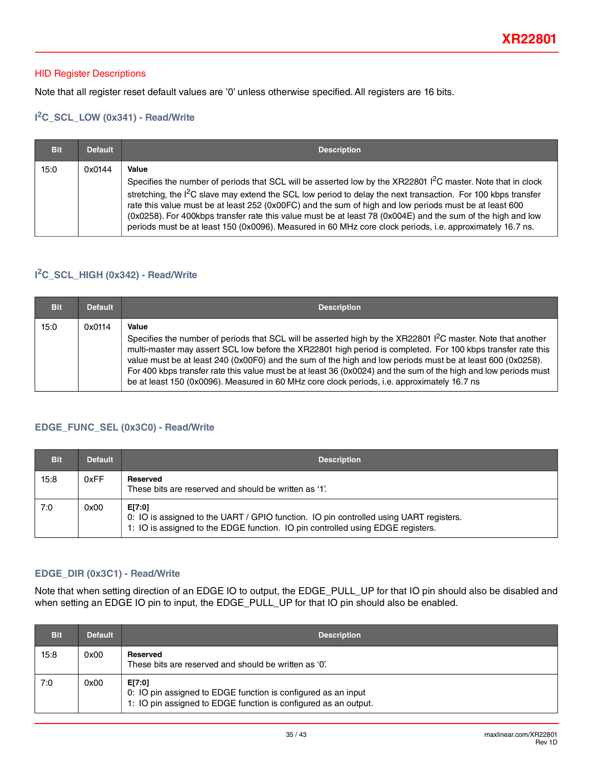#### HID Register Descriptions

Note that all register reset default values are '0' unless otherwise specified. All registers are 16 bits.

### **I 2C\_SCL\_LOW (0x341) - Read/Write**

| <b>Bit</b> | <b>Default</b> | <b>Description</b>                                                                                                                                                                                                                                                                                                                                                                                                                                                                                                                                                                      |
|------------|----------------|-----------------------------------------------------------------------------------------------------------------------------------------------------------------------------------------------------------------------------------------------------------------------------------------------------------------------------------------------------------------------------------------------------------------------------------------------------------------------------------------------------------------------------------------------------------------------------------------|
| 15:0       | 0x0144         | Value<br>Specifies the number of periods that SCL will be asserted low by the XR22801 <sup>2</sup> C master. Note that in clock<br>stretching, the $12C$ slave may extend the SCL low period to delay the next transaction. For 100 kbps transfer<br>rate this value must be at least 252 (0x00FC) and the sum of high and low periods must be at least 600<br>(0x0258). For 400kbps transfer rate this value must be at least 78 (0x004E) and the sum of the high and low<br>periods must be at least 150 (0x0096). Measured in 60 MHz core clock periods, i.e. approximately 16.7 ns. |

### **I 2C\_SCL\_HIGH (0x342) - Read/Write**

| <b>Bit</b> | <b>Default</b> | <b>Description</b>                                                                                                                                                                                                                                                                                                                                                                                                                                                                                                                                                              |
|------------|----------------|---------------------------------------------------------------------------------------------------------------------------------------------------------------------------------------------------------------------------------------------------------------------------------------------------------------------------------------------------------------------------------------------------------------------------------------------------------------------------------------------------------------------------------------------------------------------------------|
| 15:0       | 0x0114         | Value<br>Specifies the number of periods that SCL will be asserted high by the XR22801 <sup>2</sup> C master. Note that another<br>multi-master may assert SCL low before the XR22801 high period is completed. For 100 kbps transfer rate this<br>value must be at least 240 (0x00F0) and the sum of the high and low periods must be at least 600 (0x0258).<br>For 400 kbps transfer rate this value must be at least 36 (0x0024) and the sum of the high and low periods must<br>be at least 150 (0x0096). Measured in 60 MHz core clock periods, i.e. approximately 16.7 ns |

### <span id="page-34-0"></span>**EDGE\_FUNC\_SEL (0x3C0) - Read/Write**

| <b>Bit</b> | <b>Default</b> | <b>Description</b>                                                                                                                                                                  |
|------------|----------------|-------------------------------------------------------------------------------------------------------------------------------------------------------------------------------------|
| 15:8       | 0xFF           | Reserved<br>These bits are reserved and should be written as '1'.                                                                                                                   |
| 7:0        | 0x00           | E[7:0]<br>0: IO is assigned to the UART / GPIO function. IO pin controlled using UART registers.<br>1: IO is assigned to the EDGE function. IO pin controlled using EDGE registers. |

#### **EDGE\_DIR (0x3C1) - Read/Write**

Note that when setting direction of an EDGE IO to output, the EDGE\_PULL\_UP for that IO pin should also be disabled and when setting an EDGE IO pin to input, the EDGE\_PULL\_UP for that IO pin should also be enabled.

| <b>Bit</b> | <b>Default</b> | <b>Description</b>                                                                                                                         |
|------------|----------------|--------------------------------------------------------------------------------------------------------------------------------------------|
| 15:8       | 0x00           | Reserved<br>These bits are reserved and should be written as '0'.                                                                          |
| 7:0        | 0x00           | E[7:0]<br>0: IO pin assigned to EDGE function is configured as an input<br>1: IO pin assigned to EDGE function is configured as an output. |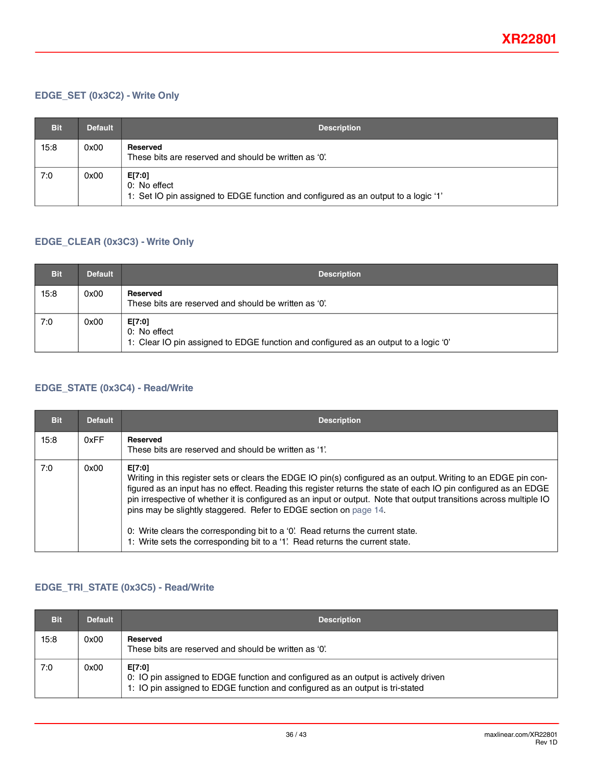### **EDGE\_SET (0x3C2) - Write Only**

| <b>Bit</b> | <b>Default</b> | <b>Description</b>                                                                                           |
|------------|----------------|--------------------------------------------------------------------------------------------------------------|
| 15:8       | 0x00           | Reserved<br>These bits are reserved and should be written as '0'.                                            |
| 7:0        | 0x00           | E[7:0]<br>0: No effect<br>1: Set IO pin assigned to EDGE function and configured as an output to a logic '1' |

### **EDGE\_CLEAR (0x3C3) - Write Only**

| <b>Bit</b> | <b>Default</b> | <b>Description</b>                                                                                             |
|------------|----------------|----------------------------------------------------------------------------------------------------------------|
| 15:8       | 0x00           | Reserved<br>These bits are reserved and should be written as '0'.                                              |
| 7:0        | 0x00           | E[7:0]<br>0: No effect<br>1: Clear IO pin assigned to EDGE function and configured as an output to a logic '0' |

### **EDGE\_STATE (0x3C4) - Read/Write**

| <b>Bit</b> | <b>Default</b> | <b>Description</b>                                                                                                                                                                                                                                                                                                                                                                                                                                                                                                                                                                                           |
|------------|----------------|--------------------------------------------------------------------------------------------------------------------------------------------------------------------------------------------------------------------------------------------------------------------------------------------------------------------------------------------------------------------------------------------------------------------------------------------------------------------------------------------------------------------------------------------------------------------------------------------------------------|
| 15:8       | 0xFF           | <b>Reserved</b><br>These bits are reserved and should be written as '1'.                                                                                                                                                                                                                                                                                                                                                                                                                                                                                                                                     |
| 7:0        | 0x00           | E[7:0]<br>Writing in this register sets or clears the EDGE IO pin(s) configured as an output. Writing to an EDGE pin con-<br>figured as an input has no effect. Reading this register returns the state of each IO pin configured as an EDGE<br>pin irrespective of whether it is configured as an input or output. Note that output transitions across multiple IO<br>pins may be slightly staggered. Refer to EDGE section on page 14.<br>0: Write clears the corresponding bit to a '0'. Read returns the current state.<br>1: Write sets the corresponding bit to a '1'. Read returns the current state. |

### **EDGE\_TRI\_STATE (0x3C5) - Read/Write**

| <b>Bit</b> | <b>Default</b> | <b>Description</b>                                                                                                                                                            |
|------------|----------------|-------------------------------------------------------------------------------------------------------------------------------------------------------------------------------|
| 15:8       | 0x00           | Reserved<br>These bits are reserved and should be written as '0'.                                                                                                             |
| 7:0        | 0x00           | E[7:0]<br>0: IO pin assigned to EDGE function and configured as an output is actively driven<br>1: IO pin assigned to EDGE function and configured as an output is tri-stated |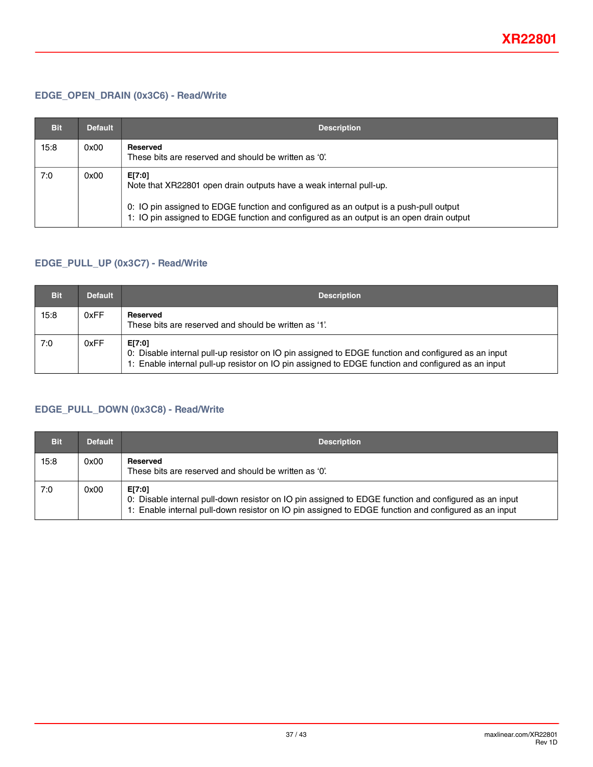### **EDGE\_OPEN\_DRAIN (0x3C6) - Read/Write**

| <b>Bit</b> | <b>Default</b> | <b>Description</b>                                                                                                                                                                                                                                               |
|------------|----------------|------------------------------------------------------------------------------------------------------------------------------------------------------------------------------------------------------------------------------------------------------------------|
| 15:8       | 0x00           | Reserved<br>These bits are reserved and should be written as '0'.                                                                                                                                                                                                |
| 7:0        | 0x00           | E[7:0]<br>Note that XR22801 open drain outputs have a weak internal pull-up.<br>0: IO pin assigned to EDGE function and configured as an output is a push-pull output<br>1: IO pin assigned to EDGE function and configured as an output is an open drain output |

### **EDGE\_PULL\_UP (0x3C7) - Read/Write**

| <b>Bit</b> | <b>Default</b> | <b>Description</b>                                                                                                                                                                                                  |
|------------|----------------|---------------------------------------------------------------------------------------------------------------------------------------------------------------------------------------------------------------------|
| 15:8       | 0xFF           | Reserved<br>These bits are reserved and should be written as '1'.                                                                                                                                                   |
| 7:0        | 0xFF           | E[7:0]<br>0: Disable internal pull-up resistor on IO pin assigned to EDGE function and configured as an input<br>1: Enable internal pull-up resistor on IO pin assigned to EDGE function and configured as an input |

### **EDGE\_PULL\_DOWN (0x3C8) - Read/Write**

| <b>Bit</b> | <b>Default</b> | <b>Description</b>                                                                                                                                                                                                      |
|------------|----------------|-------------------------------------------------------------------------------------------------------------------------------------------------------------------------------------------------------------------------|
| 15:8       | 0x00           | Reserved<br>These bits are reserved and should be written as '0'.                                                                                                                                                       |
| 7:0        | 0x00           | E[7:0]<br>0: Disable internal pull-down resistor on IO pin assigned to EDGE function and configured as an input<br>1: Enable internal pull-down resistor on IO pin assigned to EDGE function and configured as an input |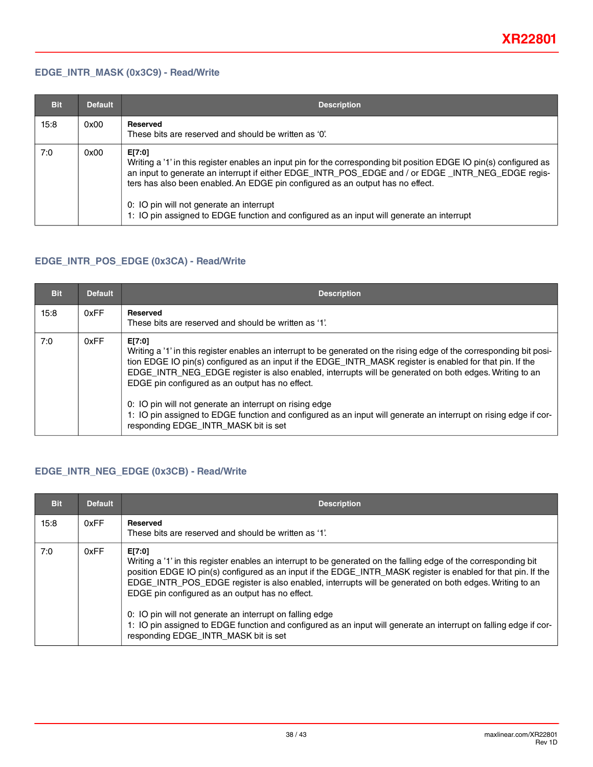#### **EDGE\_INTR\_MASK (0x3C9) - Read/Write**

| <b>Bit</b> | <b>Default</b> | <b>Description</b>                                                                                                                                                                                                                                                                                                                                                                                                                                             |
|------------|----------------|----------------------------------------------------------------------------------------------------------------------------------------------------------------------------------------------------------------------------------------------------------------------------------------------------------------------------------------------------------------------------------------------------------------------------------------------------------------|
| 15:8       | 0x00           | <b>Reserved</b><br>These bits are reserved and should be written as '0'.                                                                                                                                                                                                                                                                                                                                                                                       |
| 7:0        | 0x00           | E[7:0]<br>Writing a '1' in this register enables an input pin for the corresponding bit position EDGE IO pin(s) configured as<br>an input to generate an interrupt if either EDGE_INTR_POS_EDGE and / or EDGE _INTR_NEG_EDGE regis-<br>ters has also been enabled. An EDGE pin configured as an output has no effect.<br>0: IO pin will not generate an interrupt<br>1: IO pin assigned to EDGE function and configured as an input will generate an interrupt |

### **EDGE\_INTR\_POS\_EDGE (0x3CA) - Read/Write**

| <b>Bit</b> | <b>Default</b> | <b>Description</b>                                                                                                                                                                                                                                                                                                                                                                                                                                                                                                                                                                                                               |
|------------|----------------|----------------------------------------------------------------------------------------------------------------------------------------------------------------------------------------------------------------------------------------------------------------------------------------------------------------------------------------------------------------------------------------------------------------------------------------------------------------------------------------------------------------------------------------------------------------------------------------------------------------------------------|
| 15:8       | 0xFF           | Reserved<br>These bits are reserved and should be written as '1'.                                                                                                                                                                                                                                                                                                                                                                                                                                                                                                                                                                |
| 7:0        | 0xFF           | E[7:0]<br>Writing a '1' in this register enables an interrupt to be generated on the rising edge of the corresponding bit posi-<br>tion EDGE IO pin(s) configured as an input if the EDGE_INTR_MASK register is enabled for that pin. If the<br>EDGE_INTR_NEG_EDGE register is also enabled, interrupts will be generated on both edges. Writing to an<br>EDGE pin configured as an output has no effect.<br>0: IO pin will not generate an interrupt on rising edge<br>1: IO pin assigned to EDGE function and configured as an input will generate an interrupt on rising edge if cor-<br>responding EDGE_INTR_MASK bit is set |

### **EDGE\_INTR\_NEG\_EDGE (0x3CB) - Read/Write**

| <b>Bit</b> | <b>Default</b> | <b>Description</b>                                                                                                                                                                                                                                                                                                                                                                                                                                                                                                                                                                                                                |
|------------|----------------|-----------------------------------------------------------------------------------------------------------------------------------------------------------------------------------------------------------------------------------------------------------------------------------------------------------------------------------------------------------------------------------------------------------------------------------------------------------------------------------------------------------------------------------------------------------------------------------------------------------------------------------|
| 15:8       | 0xFF           | Reserved<br>These bits are reserved and should be written as '1'.                                                                                                                                                                                                                                                                                                                                                                                                                                                                                                                                                                 |
| 7:0        | 0xFF           | E[7:0]<br>Writing a '1' in this register enables an interrupt to be generated on the falling edge of the corresponding bit<br>position EDGE IO pin(s) configured as an input if the EDGE_INTR_MASK register is enabled for that pin. If the<br>EDGE_INTR_POS_EDGE register is also enabled, interrupts will be generated on both edges. Writing to an<br>EDGE pin configured as an output has no effect.<br>0: IO pin will not generate an interrupt on falling edge<br>1: IO pin assigned to EDGE function and configured as an input will generate an interrupt on falling edge if cor-<br>responding EDGE_INTR_MASK bit is set |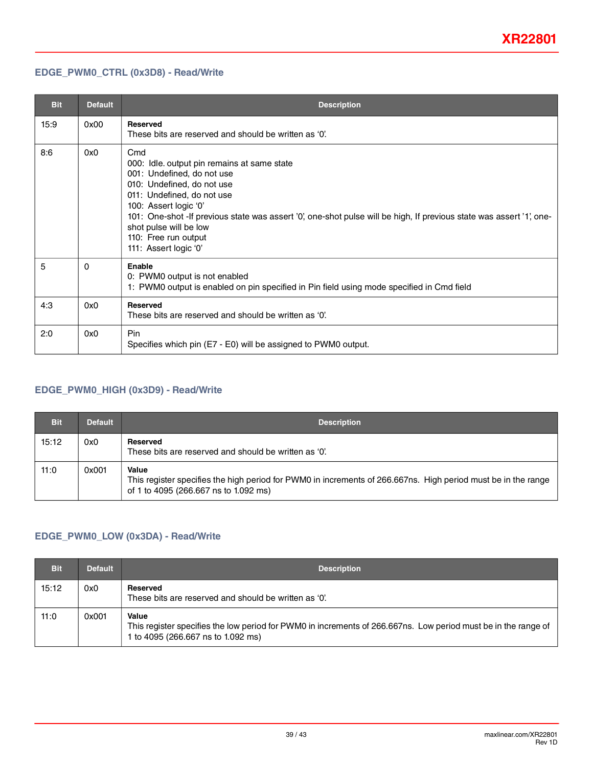### <span id="page-38-0"></span>**EDGE\_PWM0\_CTRL (0x3D8) - Read/Write**

| <b>Bit</b> | <b>Default</b> | <b>Description</b>                                                                                                                                                                                                                                                                                                                                                       |
|------------|----------------|--------------------------------------------------------------------------------------------------------------------------------------------------------------------------------------------------------------------------------------------------------------------------------------------------------------------------------------------------------------------------|
| 15:9       | 0x00           | <b>Reserved</b><br>These bits are reserved and should be written as '0'.                                                                                                                                                                                                                                                                                                 |
| 8:6        | 0x0            | Cmd<br>000: Idle. output pin remains at same state<br>001: Undefined, do not use<br>010: Undefined, do not use<br>011: Undefined, do not use<br>100: Assert logic '0'<br>101: One-shot -If previous state was assert '0', one-shot pulse will be high, If previous state was assert '1', one-<br>shot pulse will be low<br>110: Free run output<br>111: Assert logic '0' |
| 5          | 0              | Enable<br>0: PWM0 output is not enabled<br>1: PWM0 output is enabled on pin specified in Pin field using mode specified in Cmd field                                                                                                                                                                                                                                     |
| 4:3        | 0x0            | <b>Reserved</b><br>These bits are reserved and should be written as '0'.                                                                                                                                                                                                                                                                                                 |
| 2:0        | 0x0            | <b>Pin</b><br>Specifies which pin (E7 - E0) will be assigned to PWM0 output.                                                                                                                                                                                                                                                                                             |

### **EDGE\_PWM0\_HIGH (0x3D9) - Read/Write**

| <b>Bit</b> | <b>Default</b> | <b>Description</b>                                                                                                                                              |
|------------|----------------|-----------------------------------------------------------------------------------------------------------------------------------------------------------------|
| 15:12      | 0x0            | Reserved<br>These bits are reserved and should be written as '0'.                                                                                               |
| 11:0       | 0x001          | Value<br>This register specifies the high period for PWM0 in increments of 266.667ns. High period must be in the range<br>of 1 to 4095 (266.667 ns to 1.092 ms) |

### **EDGE\_PWM0\_LOW (0x3DA) - Read/Write**

| <b>Bit</b> | <b>Default</b> | <b>Description</b>                                                                                                                                            |
|------------|----------------|---------------------------------------------------------------------------------------------------------------------------------------------------------------|
| 15:12      | 0x0            | Reserved<br>These bits are reserved and should be written as '0'.                                                                                             |
| 11:0       | 0x001          | Value<br>This register specifies the low period for PWM0 in increments of 266.667ns. Low period must be in the range of<br>1 to 4095 (266.667 ns to 1.092 ms) |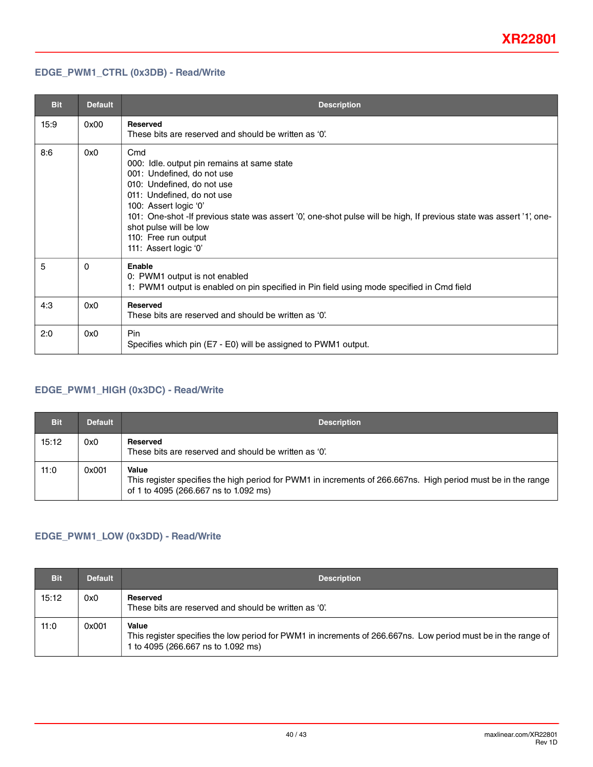### <span id="page-39-0"></span>**EDGE\_PWM1\_CTRL (0x3DB) - Read/Write**

| <b>Bit</b> | <b>Default</b> | <b>Description</b>                                                                                                                                                                                                                                                                                                                                                       |  |  |
|------------|----------------|--------------------------------------------------------------------------------------------------------------------------------------------------------------------------------------------------------------------------------------------------------------------------------------------------------------------------------------------------------------------------|--|--|
| 15:9       | 0x00           | <b>Reserved</b><br>These bits are reserved and should be written as '0'.                                                                                                                                                                                                                                                                                                 |  |  |
| 8:6        | 0x0            | Cmd<br>000: Idle. output pin remains at same state<br>001: Undefined, do not use<br>010: Undefined, do not use<br>011: Undefined, do not use<br>100: Assert logic '0'<br>101: One-shot -If previous state was assert '0', one-shot pulse will be high, If previous state was assert '1', one-<br>shot pulse will be low<br>110: Free run output<br>111: Assert logic '0' |  |  |
| 5          | $\Omega$       | Enable<br>0: PWM1 output is not enabled<br>1: PWM1 output is enabled on pin specified in Pin field using mode specified in Cmd field                                                                                                                                                                                                                                     |  |  |
| 4:3        | 0x0            | <b>Reserved</b><br>These bits are reserved and should be written as '0'.                                                                                                                                                                                                                                                                                                 |  |  |
| 2:0        | 0x0            | <b>Pin</b><br>Specifies which pin (E7 - E0) will be assigned to PWM1 output.                                                                                                                                                                                                                                                                                             |  |  |

### **EDGE\_PWM1\_HIGH (0x3DC) - Read/Write**

| <b>Bit</b> | <b>Default</b> | <b>Description</b>                                                                                                                                              |
|------------|----------------|-----------------------------------------------------------------------------------------------------------------------------------------------------------------|
| 15:12      | 0x0            | Reserved<br>These bits are reserved and should be written as '0'.                                                                                               |
| 11:0       | 0x001          | Value<br>This register specifies the high period for PWM1 in increments of 266.667ns. High period must be in the range<br>of 1 to 4095 (266.667 ns to 1.092 ms) |

### **EDGE\_PWM1\_LOW (0x3DD) - Read/Write**

| <b>Bit</b> | <b>Default</b> | <b>Description</b>                                                                                                                                            |
|------------|----------------|---------------------------------------------------------------------------------------------------------------------------------------------------------------|
| 15:12      | 0x0            | Reserved<br>These bits are reserved and should be written as '0'.                                                                                             |
| 11:0       | 0x001          | Value<br>This register specifies the low period for PWM1 in increments of 266.667ns. Low period must be in the range of<br>1 to 4095 (266.667 ns to 1.092 ms) |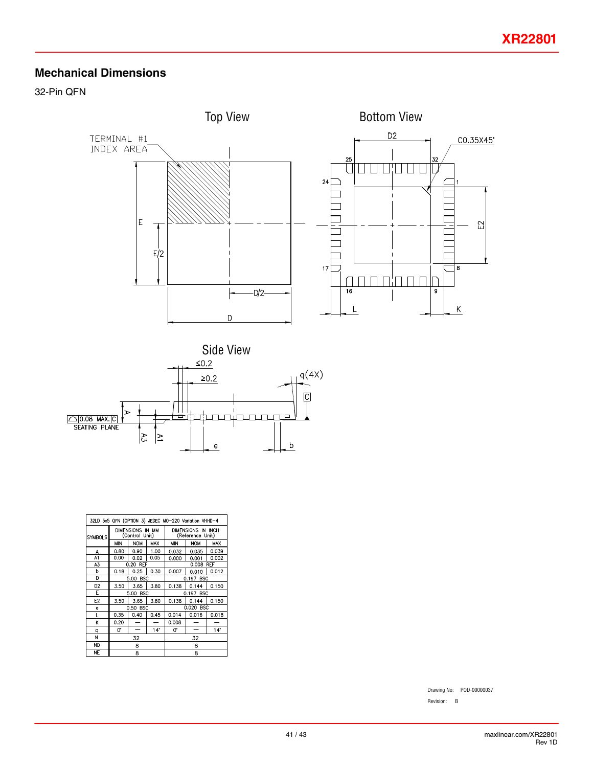# **Mechanical Dimensions**

32-Pin QFN





| 32LD 5x5 QFN (OPTION 3) JEDEC MO-220 Variation VHHD-4 |                                    |            |           |                                        |            |       |
|-------------------------------------------------------|------------------------------------|------------|-----------|----------------------------------------|------------|-------|
| <b>SYMBOLS</b>                                        | DIMENSIONS IN MM<br>(Control Unit) |            |           | DIMENSIONS IN INCH<br>(Reference Unit) |            |       |
|                                                       | <b>MIN</b>                         | <b>NOM</b> | MAX       | MIN                                    | <b>NOM</b> | MAX   |
| А                                                     | 0.80                               | 0.90       | 1.00      | 0.032                                  | 0.035      | 0.039 |
| A1                                                    | 0.00                               | 0.02       | 0.05      | 0.000                                  | 0.001      | 0.002 |
| A3                                                    | 0.20 REF                           |            |           | <b>REF</b><br>0.008                    |            |       |
| b                                                     | 0.18                               | 0.25       | 0.30      | 0.007                                  | 0.010      | 0.012 |
| D                                                     | <b>BSC</b><br>5.00                 |            |           | 0.197 BSC                              |            |       |
| D <sub>2</sub>                                        | 3.50                               | 3.65       | 3.80      | 0.138                                  | 0.144      | 0.150 |
| E                                                     | 5.00 BSC                           |            | 0.197 BSC |                                        |            |       |
| E <sub>2</sub>                                        | 3.50                               | 3.65       | 3.80      | 0.138                                  | 0.144      | 0.150 |
| e                                                     | 0.50 BSC                           |            |           | 0.020 BSC                              |            |       |
| L                                                     | 0.35                               | 0.40       | 0.45      | 0.014                                  | 0.016      | 0.018 |
| K                                                     | 0.20                               |            |           | 0.008                                  |            |       |
| q                                                     | U.                                 |            | 14"       | U.                                     |            | 14"   |
| N                                                     | 32                                 |            |           | 32                                     |            |       |
| <b>ND</b>                                             | 8                                  |            |           | 8                                      |            |       |
| <b>NE</b>                                             | 8                                  |            |           | 8                                      |            |       |

Drawing No: POD-00000037

Revision: B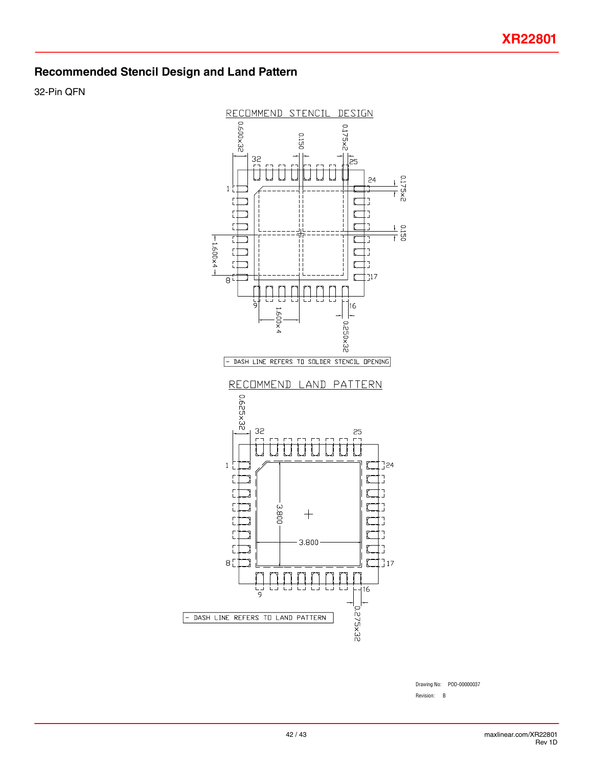# **Recommended Stencil Design and Land Pattern**

32-Pin QFN



Drawing No: POD-00000037 Revision: B